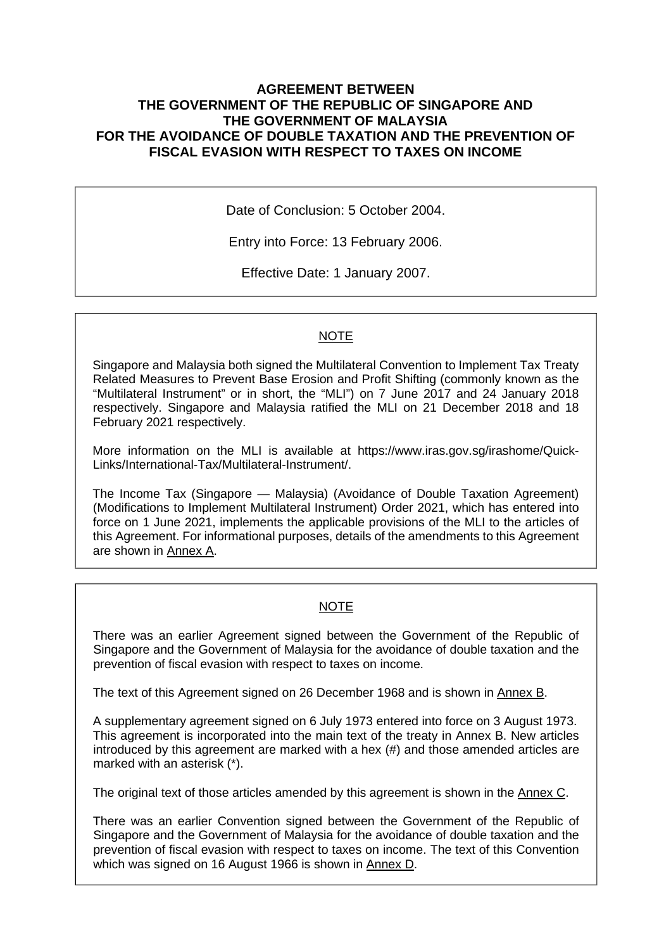#### **AGREEMENT BETWEEN THE GOVERNMENT OF THE REPUBLIC OF SINGAPORE AND THE GOVERNMENT OF MALAYSIA FOR THE AVOIDANCE OF DOUBLE TAXATION AND THE PREVENTION OF FISCAL EVASION WITH RESPECT TO TAXES ON INCOME**

Date of Conclusion: 5 October 2004.

Entry into Force: 13 February 2006.

Effective Date: 1 January 2007.

## NOTE

Singapore and Malaysia both signed the Multilateral Convention to Implement Tax Treaty Related Measures to Prevent Base Erosion and Profit Shifting (commonly known as the "Multilateral Instrument" or in short, the "MLI") on 7 June 2017 and 24 January 2018 respectively. Singapore and Malaysia ratified the MLI on 21 December 2018 and 18 February 2021 respectively.

More information on the MLI is available at https://www.iras.gov.sg/irashome/Quick-Links/International-Tax/Multilateral-Instrument/.

The Income Tax (Singapore — Malaysia) (Avoidance of Double Taxation Agreement) (Modifications to Implement Multilateral Instrument) Order 2021, which has entered into force on 1 June 2021, implements the applicable provisions of the MLI to the articles of this Agreement. For informational purposes, details of the amendments to this Agreement are shown in Annex A.

## NOTE

There was an earlier Agreement signed between the Government of the Republic of Singapore and the Government of Malaysia for the avoidance of double taxation and the prevention of fiscal evasion with respect to taxes on income.

The text of this Agreement signed on 26 December 1968 and is shown in Annex B.

A supplementary agreement signed on 6 July 1973 entered into force on 3 August 1973. This agreement is incorporated into the main text of the treaty in Annex B. New articles introduced by this agreement are marked with a hex (#) and those amended articles are marked with an asterisk (\*).

The original text of those articles amended by this agreement is shown in the Annex C.

There was an earlier Convention signed between the Government of the Republic of Singapore and the Government of Malaysia for the avoidance of double taxation and the prevention of fiscal evasion with respect to taxes on income. The text of this Convention which was signed on 16 August 1966 is shown in Annex D.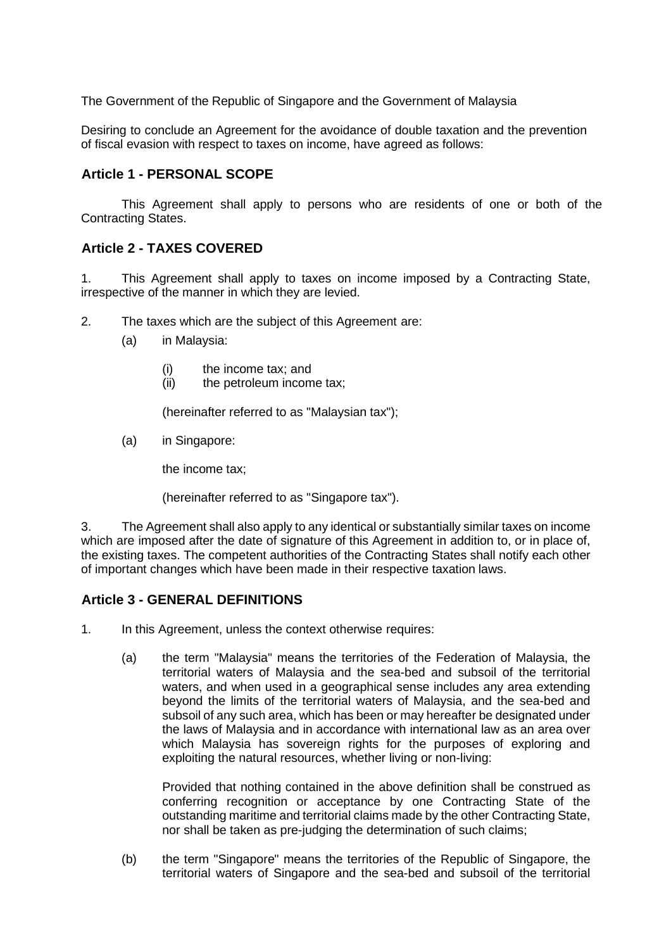The Government of the Republic of Singapore and the Government of Malaysia

Desiring to conclude an Agreement for the avoidance of double taxation and the prevention of fiscal evasion with respect to taxes on income, have agreed as follows:

#### **Article 1 - PERSONAL SCOPE**

This Agreement shall apply to persons who are residents of one or both of the Contracting States.

## **Article 2 - TAXES COVERED**

1. This Agreement shall apply to taxes on income imposed by a Contracting State, irrespective of the manner in which they are levied.

- 2. The taxes which are the subject of this Agreement are:
	- (a) in Malaysia:
		- (i) the income tax; and
		- (ii) the petroleum income tax;

(hereinafter referred to as "Malaysian tax");

(a) in Singapore:

the income tax;

(hereinafter referred to as "Singapore tax").

3. The Agreement shall also apply to any identical or substantially similar taxes on income which are imposed after the date of signature of this Agreement in addition to, or in place of, the existing taxes. The competent authorities of the Contracting States shall notify each other of important changes which have been made in their respective taxation laws.

#### **Article 3 - GENERAL DEFINITIONS**

1. In this Agreement, unless the context otherwise requires:

(a) the term "Malaysia" means the territories of the Federation of Malaysia, the territorial waters of Malaysia and the sea-bed and subsoil of the territorial waters, and when used in a geographical sense includes any area extending beyond the limits of the territorial waters of Malaysia, and the sea-bed and subsoil of any such area, which has been or may hereafter be designated under the laws of Malaysia and in accordance with international law as an area over which Malaysia has sovereign rights for the purposes of exploring and exploiting the natural resources, whether living or non-living:

Provided that nothing contained in the above definition shall be construed as conferring recognition or acceptance by one Contracting State of the outstanding maritime and territorial claims made by the other Contracting State, nor shall be taken as pre-judging the determination of such claims;

(b) the term "Singapore" means the territories of the Republic of Singapore, the territorial waters of Singapore and the sea-bed and subsoil of the territorial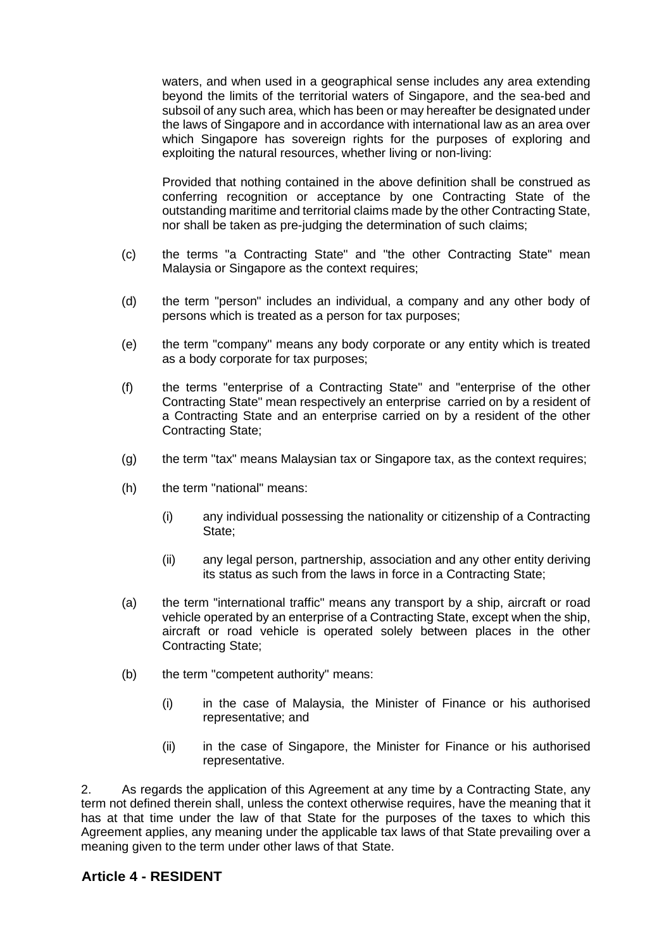waters, and when used in a geographical sense includes any area extending beyond the limits of the territorial waters of Singapore, and the sea-bed and subsoil of any such area, which has been or may hereafter be designated under the laws of Singapore and in accordance with international law as an area over which Singapore has sovereign rights for the purposes of exploring and exploiting the natural resources, whether living or non-living:

Provided that nothing contained in the above definition shall be construed as conferring recognition or acceptance by one Contracting State of the outstanding maritime and territorial claims made by the other Contracting State, nor shall be taken as pre-judging the determination of such claims;

- (c) the terms "a Contracting State" and "the other Contracting State" mean Malaysia or Singapore as the context requires;
- (d) the term "person" includes an individual, a company and any other body of persons which is treated as a person for tax purposes;
- (e) the term "company" means any body corporate or any entity which is treated as a body corporate for tax purposes;
- (f) the terms "enterprise of a Contracting State" and "enterprise of the other Contracting State" mean respectively an enterprise carried on by a resident of a Contracting State and an enterprise carried on by a resident of the other Contracting State;
- (g) the term "tax" means Malaysian tax or Singapore tax, as the context requires;
- (h) the term "national" means:
	- (i) any individual possessing the nationality or citizenship of a Contracting State;
	- (ii) any legal person, partnership, association and any other entity deriving its status as such from the laws in force in a Contracting State;
- (a) the term "international traffic" means any transport by a ship, aircraft or road vehicle operated by an enterprise of a Contracting State, except when the ship, aircraft or road vehicle is operated solely between places in the other Contracting State;
- (b) the term "competent authority" means:
	- (i) in the case of Malaysia, the Minister of Finance or his authorised representative; and
	- (ii) in the case of Singapore, the Minister for Finance or his authorised representative.

2. As regards the application of this Agreement at any time by a Contracting State, any term not defined therein shall, unless the context otherwise requires, have the meaning that it has at that time under the law of that State for the purposes of the taxes to which this Agreement applies, any meaning under the applicable tax laws of that State prevailing over a meaning given to the term under other laws of that State.

## **Article 4 - RESIDENT**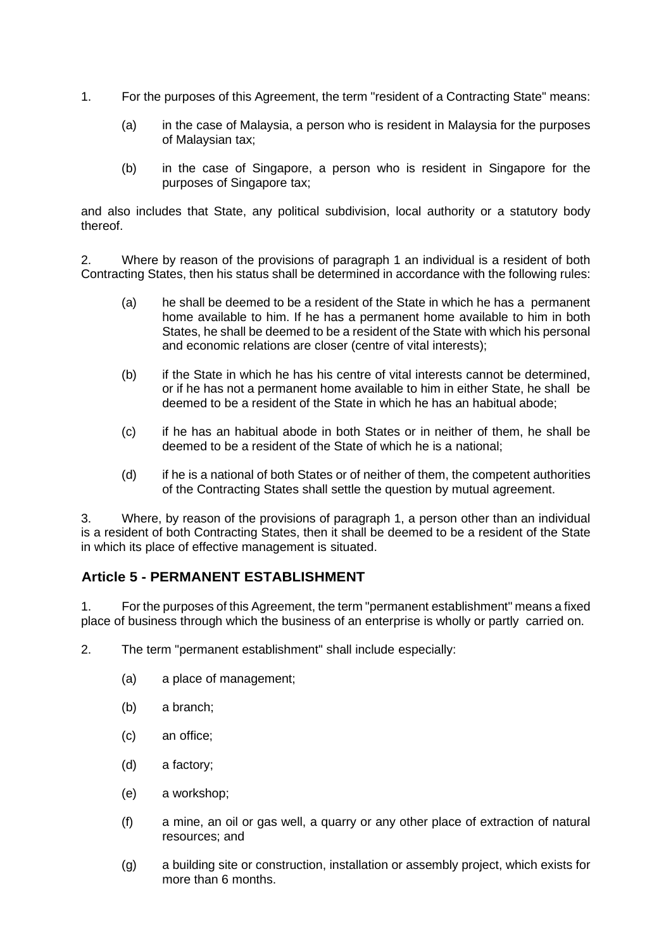- 1. For the purposes of this Agreement, the term "resident of a Contracting State" means:
	- (a) in the case of Malaysia, a person who is resident in Malaysia for the purposes of Malaysian tax;
	- (b) in the case of Singapore, a person who is resident in Singapore for the purposes of Singapore tax;

and also includes that State, any political subdivision, local authority or a statutory body thereof.

2. Where by reason of the provisions of paragraph 1 an individual is a resident of both Contracting States, then his status shall be determined in accordance with the following rules:

- (a) he shall be deemed to be a resident of the State in which he has a permanent home available to him. If he has a permanent home available to him in both States, he shall be deemed to be a resident of the State with which his personal and economic relations are closer (centre of vital interests);
- (b) if the State in which he has his centre of vital interests cannot be determined, or if he has not a permanent home available to him in either State, he shall be deemed to be a resident of the State in which he has an habitual abode;
- (c) if he has an habitual abode in both States or in neither of them, he shall be deemed to be a resident of the State of which he is a national;
- (d) if he is a national of both States or of neither of them, the competent authorities of the Contracting States shall settle the question by mutual agreement.

3. Where, by reason of the provisions of paragraph 1, a person other than an individual is a resident of both Contracting States, then it shall be deemed to be a resident of the State in which its place of effective management is situated.

## **Article 5 - PERMANENT ESTABLISHMENT**

1. For the purposes of this Agreement, the term "permanent establishment" means a fixed place of business through which the business of an enterprise is wholly or partly carried on.

- 2. The term "permanent establishment" shall include especially:
	- (a) a place of management;
	- (b) a branch;
	- (c) an office;
	- (d) a factory;
	- (e) a workshop;
	- (f) a mine, an oil or gas well, a quarry or any other place of extraction of natural resources; and
	- (g) a building site or construction, installation or assembly project, which exists for more than 6 months.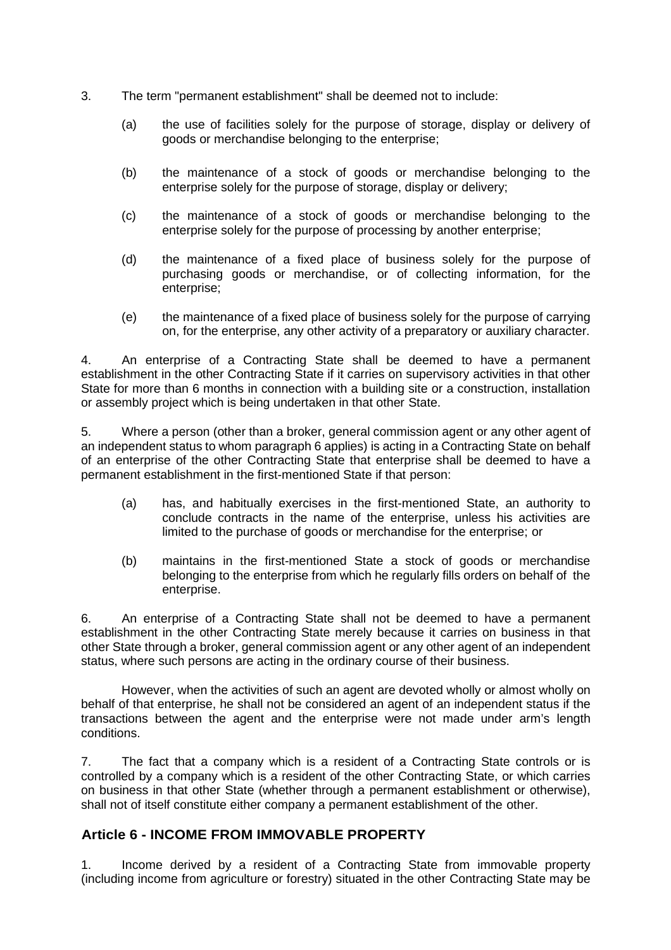- 3. The term "permanent establishment" shall be deemed not to include:
	- (a) the use of facilities solely for the purpose of storage, display or delivery of goods or merchandise belonging to the enterprise;
	- (b) the maintenance of a stock of goods or merchandise belonging to the enterprise solely for the purpose of storage, display or delivery;
	- (c) the maintenance of a stock of goods or merchandise belonging to the enterprise solely for the purpose of processing by another enterprise;
	- (d) the maintenance of a fixed place of business solely for the purpose of purchasing goods or merchandise, or of collecting information, for the enterprise;
	- (e) the maintenance of a fixed place of business solely for the purpose of carrying on, for the enterprise, any other activity of a preparatory or auxiliary character.

4. An enterprise of a Contracting State shall be deemed to have a permanent establishment in the other Contracting State if it carries on supervisory activities in that other State for more than 6 months in connection with a building site or a construction, installation or assembly project which is being undertaken in that other State.

5. Where a person (other than a broker, general commission agent or any other agent of an independent status to whom paragraph 6 applies) is acting in a Contracting State on behalf of an enterprise of the other Contracting State that enterprise shall be deemed to have a permanent establishment in the first-mentioned State if that person:

- (a) has, and habitually exercises in the first-mentioned State, an authority to conclude contracts in the name of the enterprise, unless his activities are limited to the purchase of goods or merchandise for the enterprise; or
- (b) maintains in the first-mentioned State a stock of goods or merchandise belonging to the enterprise from which he regularly fills orders on behalf of the enterprise.

6. An enterprise of a Contracting State shall not be deemed to have a permanent establishment in the other Contracting State merely because it carries on business in that other State through a broker, general commission agent or any other agent of an independent status, where such persons are acting in the ordinary course of their business.

However, when the activities of such an agent are devoted wholly or almost wholly on behalf of that enterprise, he shall not be considered an agent of an independent status if the transactions between the agent and the enterprise were not made under arm's length conditions.

7. The fact that a company which is a resident of a Contracting State controls or is controlled by a company which is a resident of the other Contracting State, or which carries on business in that other State (whether through a permanent establishment or otherwise), shall not of itself constitute either company a permanent establishment of the other.

## **Article 6 - INCOME FROM IMMOVABLE PROPERTY**

1. Income derived by a resident of a Contracting State from immovable property (including income from agriculture or forestry) situated in the other Contracting State may be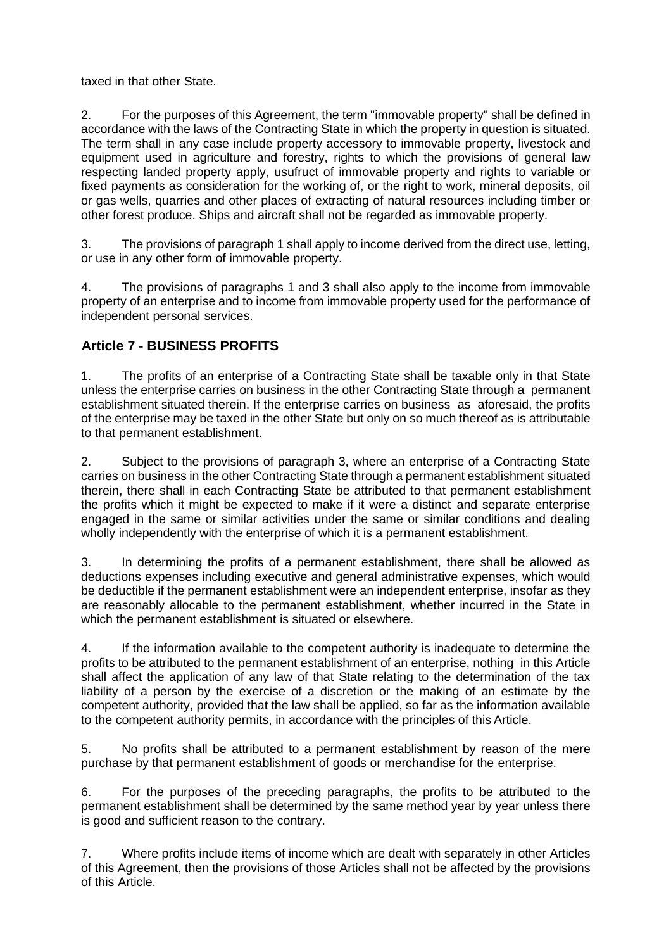taxed in that other State.

2. For the purposes of this Agreement, the term "immovable property" shall be defined in accordance with the laws of the Contracting State in which the property in question is situated. The term shall in any case include property accessory to immovable property, livestock and equipment used in agriculture and forestry, rights to which the provisions of general law respecting landed property apply, usufruct of immovable property and rights to variable or fixed payments as consideration for the working of, or the right to work, mineral deposits, oil or gas wells, quarries and other places of extracting of natural resources including timber or other forest produce. Ships and aircraft shall not be regarded as immovable property.

3. The provisions of paragraph 1 shall apply to income derived from the direct use, letting, or use in any other form of immovable property.

4. The provisions of paragraphs 1 and 3 shall also apply to the income from immovable property of an enterprise and to income from immovable property used for the performance of independent personal services.

# **Article 7 - BUSINESS PROFITS**

1. The profits of an enterprise of a Contracting State shall be taxable only in that State unless the enterprise carries on business in the other Contracting State through a permanent establishment situated therein. If the enterprise carries on business as aforesaid, the profits of the enterprise may be taxed in the other State but only on so much thereof as is attributable to that permanent establishment.

2. Subject to the provisions of paragraph 3, where an enterprise of a Contracting State carries on business in the other Contracting State through a permanent establishment situated therein, there shall in each Contracting State be attributed to that permanent establishment the profits which it might be expected to make if it were a distinct and separate enterprise engaged in the same or similar activities under the same or similar conditions and dealing wholly independently with the enterprise of which it is a permanent establishment.

3. In determining the profits of a permanent establishment, there shall be allowed as deductions expenses including executive and general administrative expenses, which would be deductible if the permanent establishment were an independent enterprise, insofar as they are reasonably allocable to the permanent establishment, whether incurred in the State in which the permanent establishment is situated or elsewhere.

4. If the information available to the competent authority is inadequate to determine the profits to be attributed to the permanent establishment of an enterprise, nothing in this Article shall affect the application of any law of that State relating to the determination of the tax liability of a person by the exercise of a discretion or the making of an estimate by the competent authority, provided that the law shall be applied, so far as the information available to the competent authority permits, in accordance with the principles of this Article.

5. No profits shall be attributed to a permanent establishment by reason of the mere purchase by that permanent establishment of goods or merchandise for the enterprise.

6. For the purposes of the preceding paragraphs, the profits to be attributed to the permanent establishment shall be determined by the same method year by year unless there is good and sufficient reason to the contrary.

7. Where profits include items of income which are dealt with separately in other Articles of this Agreement, then the provisions of those Articles shall not be affected by the provisions of this Article.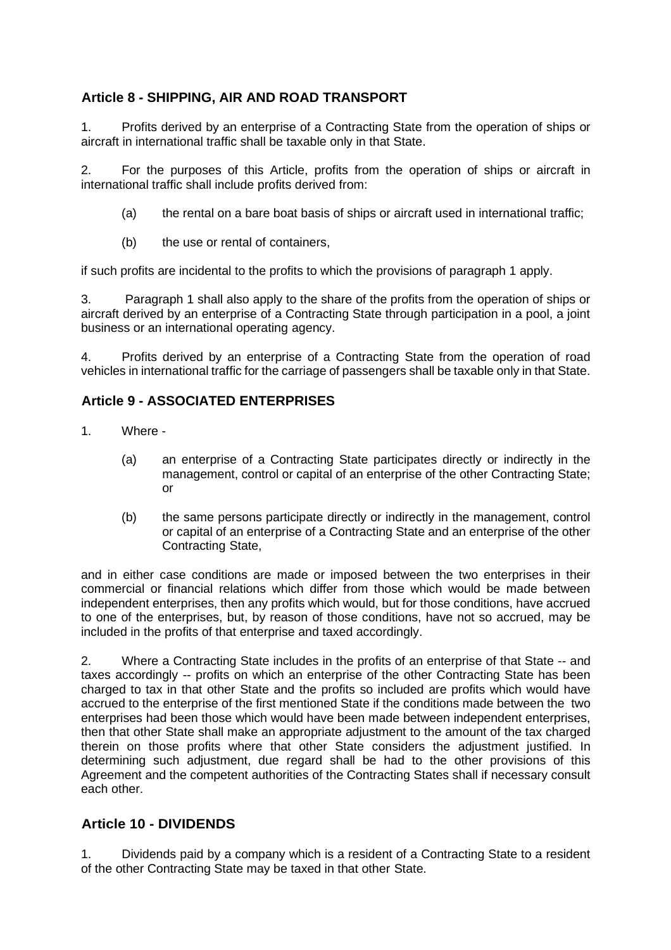# **Article 8 - SHIPPING, AIR AND ROAD TRANSPORT**

1. Profits derived by an enterprise of a Contracting State from the operation of ships or aircraft in international traffic shall be taxable only in that State.

2. For the purposes of this Article, profits from the operation of ships or aircraft in international traffic shall include profits derived from:

- (a) the rental on a bare boat basis of ships or aircraft used in international traffic;
- (b) the use or rental of containers.

if such profits are incidental to the profits to which the provisions of paragraph 1 apply.

3. Paragraph 1 shall also apply to the share of the profits from the operation of ships or aircraft derived by an enterprise of a Contracting State through participation in a pool, a joint business or an international operating agency.

4. Profits derived by an enterprise of a Contracting State from the operation of road vehicles in international traffic for the carriage of passengers shall be taxable only in that State.

## **Article 9 - ASSOCIATED ENTERPRISES**

- 1. Where
	- (a) an enterprise of a Contracting State participates directly or indirectly in the management, control or capital of an enterprise of the other Contracting State; or
	- (b) the same persons participate directly or indirectly in the management, control or capital of an enterprise of a Contracting State and an enterprise of the other Contracting State,

and in either case conditions are made or imposed between the two enterprises in their commercial or financial relations which differ from those which would be made between independent enterprises, then any profits which would, but for those conditions, have accrued to one of the enterprises, but, by reason of those conditions, have not so accrued, may be included in the profits of that enterprise and taxed accordingly.

2. Where a Contracting State includes in the profits of an enterprise of that State -- and taxes accordingly -- profits on which an enterprise of the other Contracting State has been charged to tax in that other State and the profits so included are profits which would have accrued to the enterprise of the first mentioned State if the conditions made between the two enterprises had been those which would have been made between independent enterprises, then that other State shall make an appropriate adjustment to the amount of the tax charged therein on those profits where that other State considers the adjustment justified. In determining such adjustment, due regard shall be had to the other provisions of this Agreement and the competent authorities of the Contracting States shall if necessary consult each other.

## **Article 10 - DIVIDENDS**

1. Dividends paid by a company which is a resident of a Contracting State to a resident of the other Contracting State may be taxed in that other State.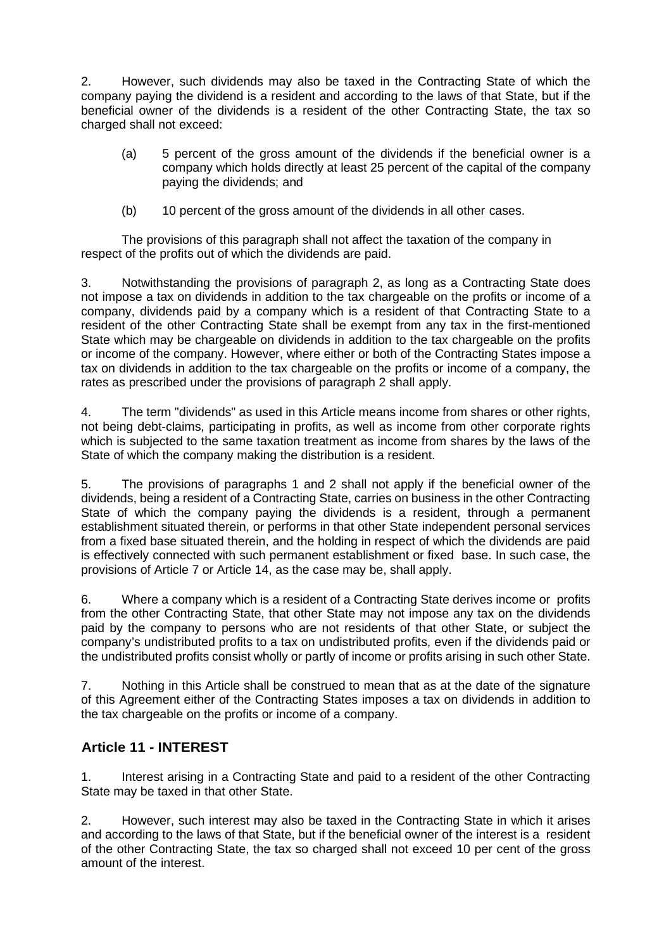2. However, such dividends may also be taxed in the Contracting State of which the company paying the dividend is a resident and according to the laws of that State, but if the beneficial owner of the dividends is a resident of the other Contracting State, the tax so charged shall not exceed:

- (a) 5 percent of the gross amount of the dividends if the beneficial owner is a company which holds directly at least 25 percent of the capital of the company paying the dividends; and
- (b) 10 percent of the gross amount of the dividends in all other cases.

The provisions of this paragraph shall not affect the taxation of the company in respect of the profits out of which the dividends are paid.

3. Notwithstanding the provisions of paragraph 2, as long as a Contracting State does not impose a tax on dividends in addition to the tax chargeable on the profits or income of a company, dividends paid by a company which is a resident of that Contracting State to a resident of the other Contracting State shall be exempt from any tax in the first-mentioned State which may be chargeable on dividends in addition to the tax chargeable on the profits or income of the company. However, where either or both of the Contracting States impose a tax on dividends in addition to the tax chargeable on the profits or income of a company, the rates as prescribed under the provisions of paragraph 2 shall apply.

4. The term "dividends" as used in this Article means income from shares or other rights, not being debt-claims, participating in profits, as well as income from other corporate rights which is subjected to the same taxation treatment as income from shares by the laws of the State of which the company making the distribution is a resident.

5. The provisions of paragraphs 1 and 2 shall not apply if the beneficial owner of the dividends, being a resident of a Contracting State, carries on business in the other Contracting State of which the company paying the dividends is a resident, through a permanent establishment situated therein, or performs in that other State independent personal services from a fixed base situated therein, and the holding in respect of which the dividends are paid is effectively connected with such permanent establishment or fixed base. In such case, the provisions of Article 7 or Article 14, as the case may be, shall apply.

6. Where a company which is a resident of a Contracting State derives income or profits from the other Contracting State, that other State may not impose any tax on the dividends paid by the company to persons who are not residents of that other State, or subject the company's undistributed profits to a tax on undistributed profits, even if the dividends paid or the undistributed profits consist wholly or partly of income or profits arising in such other State.

7. Nothing in this Article shall be construed to mean that as at the date of the signature of this Agreement either of the Contracting States imposes a tax on dividends in addition to the tax chargeable on the profits or income of a company.

# **Article 11 - INTEREST**

1. Interest arising in a Contracting State and paid to a resident of the other Contracting State may be taxed in that other State.

2. However, such interest may also be taxed in the Contracting State in which it arises and according to the laws of that State, but if the beneficial owner of the interest is a resident of the other Contracting State, the tax so charged shall not exceed 10 per cent of the gross amount of the interest.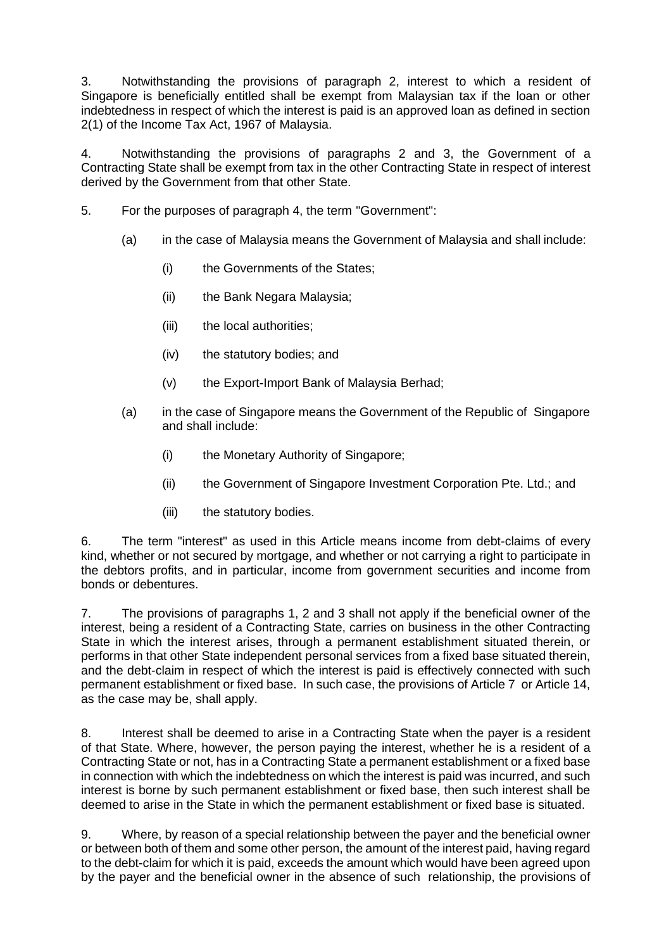3. Notwithstanding the provisions of paragraph 2, interest to which a resident of Singapore is beneficially entitled shall be exempt from Malaysian tax if the loan or other indebtedness in respect of which the interest is paid is an approved loan as defined in section 2(1) of the Income Tax Act, 1967 of Malaysia.

4. Notwithstanding the provisions of paragraphs 2 and 3, the Government of a Contracting State shall be exempt from tax in the other Contracting State in respect of interest derived by the Government from that other State.

- 5. For the purposes of paragraph 4, the term "Government":
	- (a) in the case of Malaysia means the Government of Malaysia and shall include:
		- (i) the Governments of the States;
		- (ii) the Bank Negara Malaysia;
		- (iii) the local authorities;
		- (iv) the statutory bodies; and
		- (v) the Export-Import Bank of Malaysia Berhad;
	- (a) in the case of Singapore means the Government of the Republic of Singapore and shall include:
		- (i) the Monetary Authority of Singapore;
		- (ii) the Government of Singapore Investment Corporation Pte. Ltd.; and
		- (iii) the statutory bodies.

6. The term "interest" as used in this Article means income from debt-claims of every kind, whether or not secured by mortgage, and whether or not carrying a right to participate in the debtors profits, and in particular, income from government securities and income from bonds or debentures.

7. The provisions of paragraphs 1, 2 and 3 shall not apply if the beneficial owner of the interest, being a resident of a Contracting State, carries on business in the other Contracting State in which the interest arises, through a permanent establishment situated therein, or performs in that other State independent personal services from a fixed base situated therein, and the debt-claim in respect of which the interest is paid is effectively connected with such permanent establishment or fixed base. In such case, the provisions of Article 7 or Article 14, as the case may be, shall apply.

8. Interest shall be deemed to arise in a Contracting State when the payer is a resident of that State. Where, however, the person paying the interest, whether he is a resident of a Contracting State or not, has in a Contracting State a permanent establishment or a fixed base in connection with which the indebtedness on which the interest is paid was incurred, and such interest is borne by such permanent establishment or fixed base, then such interest shall be deemed to arise in the State in which the permanent establishment or fixed base is situated.

9. Where, by reason of a special relationship between the payer and the beneficial owner or between both of them and some other person, the amount of the interest paid, having regard to the debt-claim for which it is paid, exceeds the amount which would have been agreed upon by the payer and the beneficial owner in the absence of such relationship, the provisions of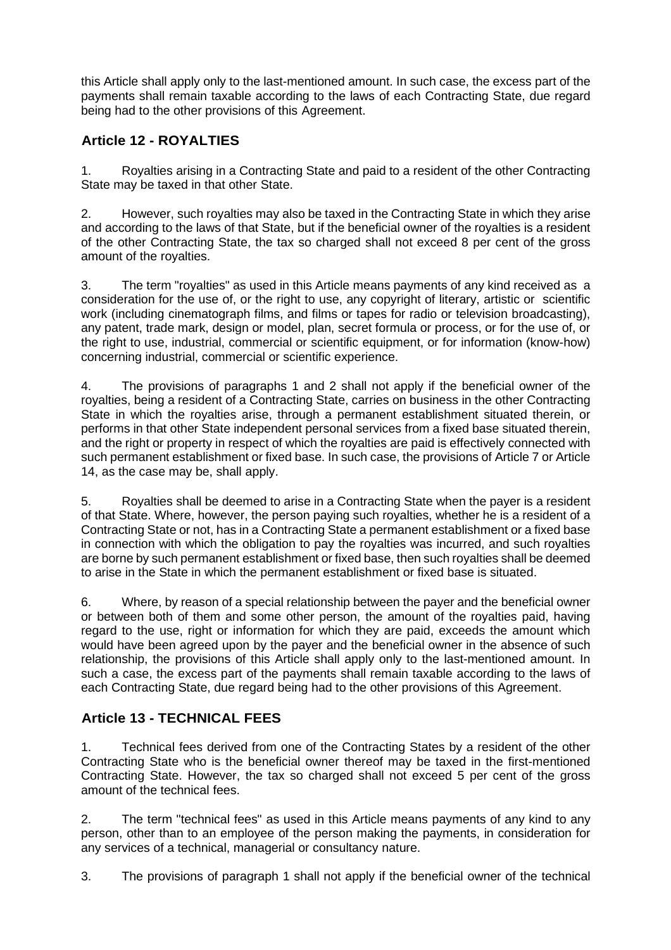this Article shall apply only to the last-mentioned amount. In such case, the excess part of the payments shall remain taxable according to the laws of each Contracting State, due regard being had to the other provisions of this Agreement.

# **Article 12 - ROYALTIES**

1. Royalties arising in a Contracting State and paid to a resident of the other Contracting State may be taxed in that other State.

2. However, such royalties may also be taxed in the Contracting State in which they arise and according to the laws of that State, but if the beneficial owner of the royalties is a resident of the other Contracting State, the tax so charged shall not exceed 8 per cent of the gross amount of the royalties.

3. The term "royalties" as used in this Article means payments of any kind received as a consideration for the use of, or the right to use, any copyright of literary, artistic or scientific work (including cinematograph films, and films or tapes for radio or television broadcasting), any patent, trade mark, design or model, plan, secret formula or process, or for the use of, or the right to use, industrial, commercial or scientific equipment, or for information (know-how) concerning industrial, commercial or scientific experience.

4. The provisions of paragraphs 1 and 2 shall not apply if the beneficial owner of the royalties, being a resident of a Contracting State, carries on business in the other Contracting State in which the royalties arise, through a permanent establishment situated therein, or performs in that other State independent personal services from a fixed base situated therein, and the right or property in respect of which the royalties are paid is effectively connected with such permanent establishment or fixed base. In such case, the provisions of Article 7 or Article 14, as the case may be, shall apply.

5. Royalties shall be deemed to arise in a Contracting State when the payer is a resident of that State. Where, however, the person paying such royalties, whether he is a resident of a Contracting State or not, has in a Contracting State a permanent establishment or a fixed base in connection with which the obligation to pay the royalties was incurred, and such royalties are borne by such permanent establishment or fixed base, then such royalties shall be deemed to arise in the State in which the permanent establishment or fixed base is situated.

6. Where, by reason of a special relationship between the payer and the beneficial owner or between both of them and some other person, the amount of the royalties paid, having regard to the use, right or information for which they are paid, exceeds the amount which would have been agreed upon by the payer and the beneficial owner in the absence of such relationship, the provisions of this Article shall apply only to the last-mentioned amount. In such a case, the excess part of the payments shall remain taxable according to the laws of each Contracting State, due regard being had to the other provisions of this Agreement.

# **Article 13 - TECHNICAL FEES**

1. Technical fees derived from one of the Contracting States by a resident of the other Contracting State who is the beneficial owner thereof may be taxed in the first-mentioned Contracting State. However, the tax so charged shall not exceed 5 per cent of the gross amount of the technical fees.

2. The term "technical fees" as used in this Article means payments of any kind to any person, other than to an employee of the person making the payments, in consideration for any services of a technical, managerial or consultancy nature.

3. The provisions of paragraph 1 shall not apply if the beneficial owner of the technical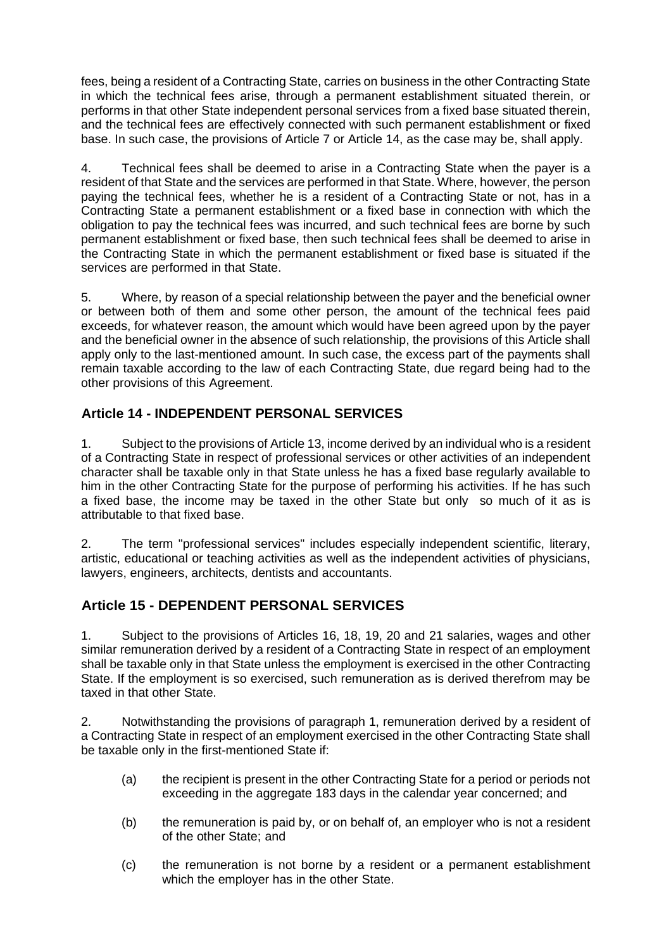fees, being a resident of a Contracting State, carries on business in the other Contracting State in which the technical fees arise, through a permanent establishment situated therein, or performs in that other State independent personal services from a fixed base situated therein, and the technical fees are effectively connected with such permanent establishment or fixed base. In such case, the provisions of Article 7 or Article 14, as the case may be, shall apply.

4. Technical fees shall be deemed to arise in a Contracting State when the payer is a resident of that State and the services are performed in that State. Where, however, the person paying the technical fees, whether he is a resident of a Contracting State or not, has in a Contracting State a permanent establishment or a fixed base in connection with which the obligation to pay the technical fees was incurred, and such technical fees are borne by such permanent establishment or fixed base, then such technical fees shall be deemed to arise in the Contracting State in which the permanent establishment or fixed base is situated if the services are performed in that State.

5. Where, by reason of a special relationship between the payer and the beneficial owner or between both of them and some other person, the amount of the technical fees paid exceeds, for whatever reason, the amount which would have been agreed upon by the payer and the beneficial owner in the absence of such relationship, the provisions of this Article shall apply only to the last-mentioned amount. In such case, the excess part of the payments shall remain taxable according to the law of each Contracting State, due regard being had to the other provisions of this Agreement.

# **Article 14 - INDEPENDENT PERSONAL SERVICES**

1. Subject to the provisions of Article 13, income derived by an individual who is a resident of a Contracting State in respect of professional services or other activities of an independent character shall be taxable only in that State unless he has a fixed base regularly available to him in the other Contracting State for the purpose of performing his activities. If he has such a fixed base, the income may be taxed in the other State but only so much of it as is attributable to that fixed base.

2. The term "professional services" includes especially independent scientific, literary, artistic, educational or teaching activities as well as the independent activities of physicians, lawyers, engineers, architects, dentists and accountants.

# **Article 15 - DEPENDENT PERSONAL SERVICES**

1. Subject to the provisions of Articles 16, 18, 19, 20 and 21 salaries, wages and other similar remuneration derived by a resident of a Contracting State in respect of an employment shall be taxable only in that State unless the employment is exercised in the other Contracting State. If the employment is so exercised, such remuneration as is derived therefrom may be taxed in that other State.

2. Notwithstanding the provisions of paragraph 1, remuneration derived by a resident of a Contracting State in respect of an employment exercised in the other Contracting State shall be taxable only in the first-mentioned State if:

- (a) the recipient is present in the other Contracting State for a period or periods not exceeding in the aggregate 183 days in the calendar year concerned; and
- (b) the remuneration is paid by, or on behalf of, an employer who is not a resident of the other State; and
- (c) the remuneration is not borne by a resident or a permanent establishment which the employer has in the other State.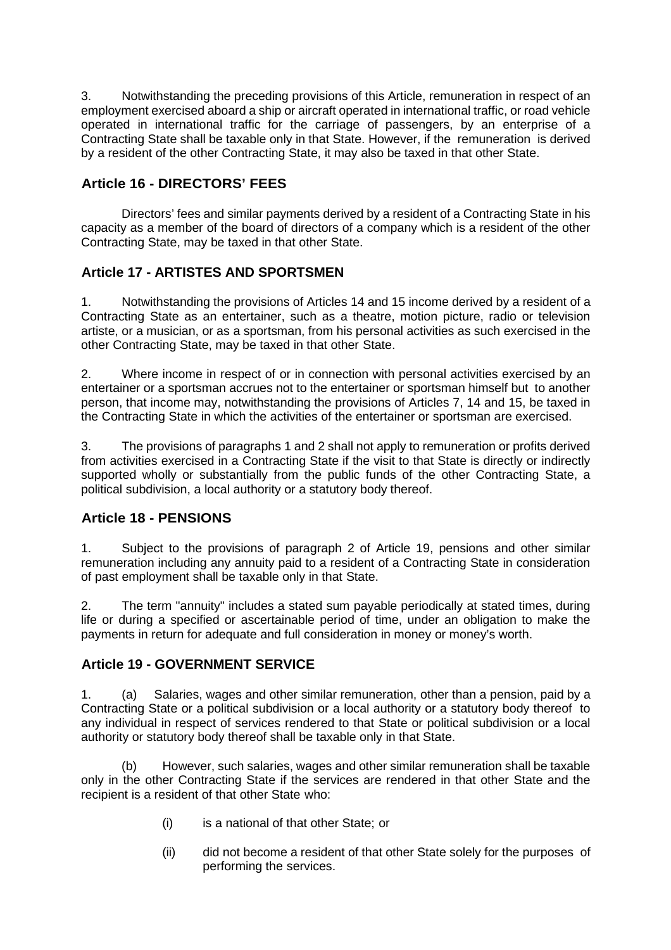3. Notwithstanding the preceding provisions of this Article, remuneration in respect of an employment exercised aboard a ship or aircraft operated in international traffic, or road vehicle operated in international traffic for the carriage of passengers, by an enterprise of a Contracting State shall be taxable only in that State. However, if the remuneration is derived by a resident of the other Contracting State, it may also be taxed in that other State.

# **Article 16 - DIRECTORS' FEES**

Directors' fees and similar payments derived by a resident of a Contracting State in his capacity as a member of the board of directors of a company which is a resident of the other Contracting State, may be taxed in that other State.

# **Article 17 - ARTISTES AND SPORTSMEN**

1. Notwithstanding the provisions of Articles 14 and 15 income derived by a resident of a Contracting State as an entertainer, such as a theatre, motion picture, radio or television artiste, or a musician, or as a sportsman, from his personal activities as such exercised in the other Contracting State, may be taxed in that other State.

2. Where income in respect of or in connection with personal activities exercised by an entertainer or a sportsman accrues not to the entertainer or sportsman himself but to another person, that income may, notwithstanding the provisions of Articles 7, 14 and 15, be taxed in the Contracting State in which the activities of the entertainer or sportsman are exercised.

3. The provisions of paragraphs 1 and 2 shall not apply to remuneration or profits derived from activities exercised in a Contracting State if the visit to that State is directly or indirectly supported wholly or substantially from the public funds of the other Contracting State, a political subdivision, a local authority or a statutory body thereof.

# **Article 18 - PENSIONS**

1. Subject to the provisions of paragraph 2 of Article 19, pensions and other similar remuneration including any annuity paid to a resident of a Contracting State in consideration of past employment shall be taxable only in that State.

2. The term "annuity" includes a stated sum payable periodically at stated times, during life or during a specified or ascertainable period of time, under an obligation to make the payments in return for adequate and full consideration in money or money's worth.

# **Article 19 - GOVERNMENT SERVICE**

1. (a) Salaries, wages and other similar remuneration, other than a pension, paid by a Contracting State or a political subdivision or a local authority or a statutory body thereof to any individual in respect of services rendered to that State or political subdivision or a local authority or statutory body thereof shall be taxable only in that State.

(b) However, such salaries, wages and other similar remuneration shall be taxable only in the other Contracting State if the services are rendered in that other State and the recipient is a resident of that other State who:

- (i) is a national of that other State; or
- (ii) did not become a resident of that other State solely for the purposes of performing the services.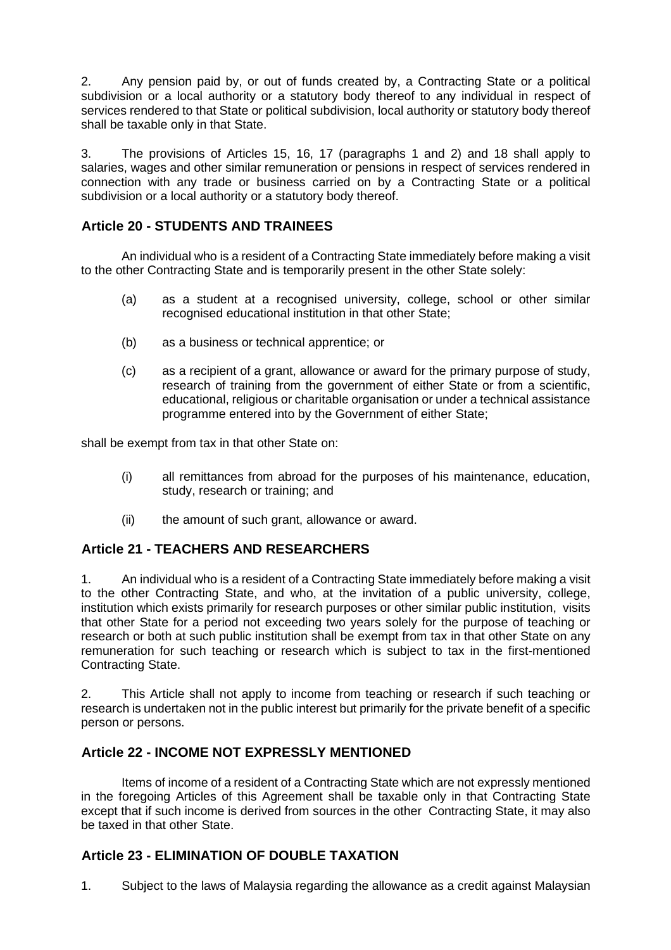2. Any pension paid by, or out of funds created by, a Contracting State or a political subdivision or a local authority or a statutory body thereof to any individual in respect of services rendered to that State or political subdivision, local authority or statutory body thereof shall be taxable only in that State.

3. The provisions of Articles 15, 16, 17 (paragraphs 1 and 2) and 18 shall apply to salaries, wages and other similar remuneration or pensions in respect of services rendered in connection with any trade or business carried on by a Contracting State or a political subdivision or a local authority or a statutory body thereof.

## **Article 20 - STUDENTS AND TRAINEES**

An individual who is a resident of a Contracting State immediately before making a visit to the other Contracting State and is temporarily present in the other State solely:

- (a) as a student at a recognised university, college, school or other similar recognised educational institution in that other State;
- (b) as a business or technical apprentice; or
- (c) as a recipient of a grant, allowance or award for the primary purpose of study, research of training from the government of either State or from a scientific, educational, religious or charitable organisation or under a technical assistance programme entered into by the Government of either State;

shall be exempt from tax in that other State on:

- (i) all remittances from abroad for the purposes of his maintenance, education, study, research or training; and
- (ii) the amount of such grant, allowance or award.

## **Article 21 - TEACHERS AND RESEARCHERS**

1. An individual who is a resident of a Contracting State immediately before making a visit to the other Contracting State, and who, at the invitation of a public university, college, institution which exists primarily for research purposes or other similar public institution, visits that other State for a period not exceeding two years solely for the purpose of teaching or research or both at such public institution shall be exempt from tax in that other State on any remuneration for such teaching or research which is subject to tax in the first-mentioned Contracting State.

2. This Article shall not apply to income from teaching or research if such teaching or research is undertaken not in the public interest but primarily for the private benefit of a specific person or persons.

#### **Article 22 - INCOME NOT EXPRESSLY MENTIONED**

Items of income of a resident of a Contracting State which are not expressly mentioned in the foregoing Articles of this Agreement shall be taxable only in that Contracting State except that if such income is derived from sources in the other Contracting State, it may also be taxed in that other State.

## **Article 23 - ELIMINATION OF DOUBLE TAXATION**

1. Subject to the laws of Malaysia regarding the allowance as a credit against Malaysian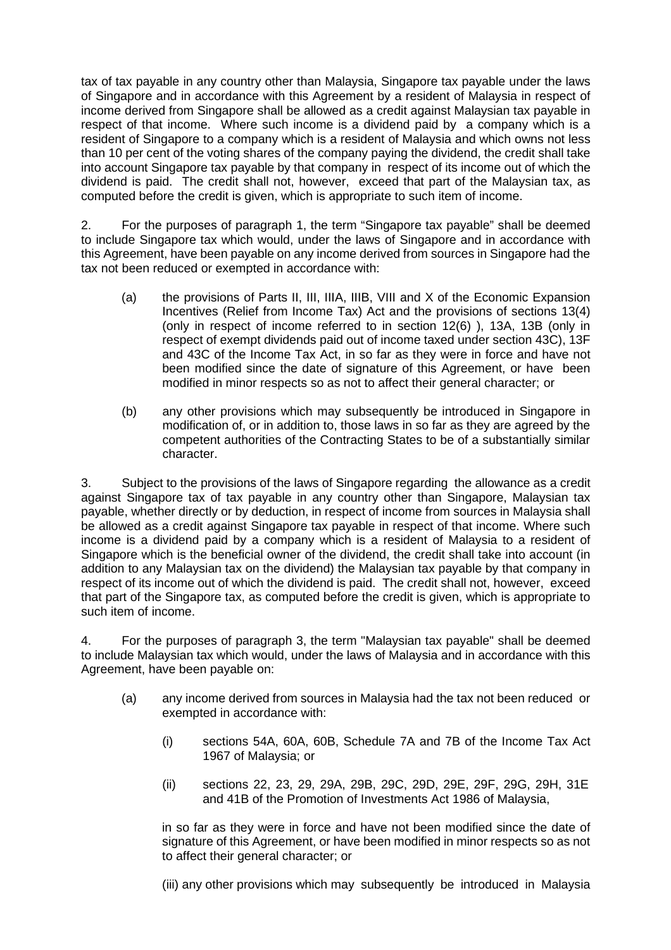tax of tax payable in any country other than Malaysia, Singapore tax payable under the laws of Singapore and in accordance with this Agreement by a resident of Malaysia in respect of income derived from Singapore shall be allowed as a credit against Malaysian tax payable in respect of that income. Where such income is a dividend paid by a company which is a resident of Singapore to a company which is a resident of Malaysia and which owns not less than 10 per cent of the voting shares of the company paying the dividend, the credit shall take into account Singapore tax payable by that company in respect of its income out of which the dividend is paid. The credit shall not, however, exceed that part of the Malaysian tax, as computed before the credit is given, which is appropriate to such item of income.

2. For the purposes of paragraph 1, the term "Singapore tax payable" shall be deemed to include Singapore tax which would, under the laws of Singapore and in accordance with this Agreement, have been payable on any income derived from sources in Singapore had the tax not been reduced or exempted in accordance with:

- (a) the provisions of Parts II, III, IIIA, IIIB, VIII and X of the Economic Expansion Incentives (Relief from Income Tax) Act and the provisions of sections 13(4) (only in respect of income referred to in section 12(6) ), 13A, 13B (only in respect of exempt dividends paid out of income taxed under section 43C), 13F and 43C of the Income Tax Act, in so far as they were in force and have not been modified since the date of signature of this Agreement, or have been modified in minor respects so as not to affect their general character; or
- (b) any other provisions which may subsequently be introduced in Singapore in modification of, or in addition to, those laws in so far as they are agreed by the competent authorities of the Contracting States to be of a substantially similar character.

3. Subject to the provisions of the laws of Singapore regarding the allowance as a credit against Singapore tax of tax payable in any country other than Singapore, Malaysian tax payable, whether directly or by deduction, in respect of income from sources in Malaysia shall be allowed as a credit against Singapore tax payable in respect of that income. Where such income is a dividend paid by a company which is a resident of Malaysia to a resident of Singapore which is the beneficial owner of the dividend, the credit shall take into account (in addition to any Malaysian tax on the dividend) the Malaysian tax payable by that company in respect of its income out of which the dividend is paid. The credit shall not, however, exceed that part of the Singapore tax, as computed before the credit is given, which is appropriate to such item of income.

4. For the purposes of paragraph 3, the term "Malaysian tax payable" shall be deemed to include Malaysian tax which would, under the laws of Malaysia and in accordance with this Agreement, have been payable on:

- (a) any income derived from sources in Malaysia had the tax not been reduced or exempted in accordance with:
	- (i) sections 54A, 60A, 60B, Schedule 7A and 7B of the Income Tax Act 1967 of Malaysia; or
	- (ii) sections 22, 23, 29, 29A, 29B, 29C, 29D, 29E, 29F, 29G, 29H, 31E and 41B of the Promotion of Investments Act 1986 of Malaysia,

in so far as they were in force and have not been modified since the date of signature of this Agreement, or have been modified in minor respects so as not to affect their general character; or

(iii) any other provisions which may subsequently be introduced in Malaysia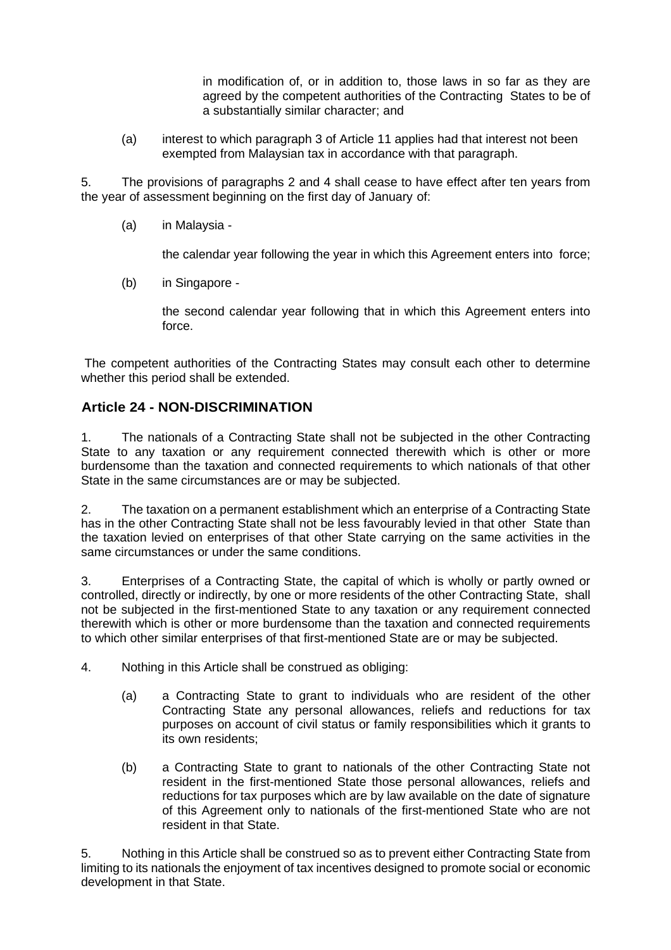in modification of, or in addition to, those laws in so far as they are agreed by the competent authorities of the Contracting States to be of a substantially similar character; and

(a) interest to which paragraph 3 of Article 11 applies had that interest not been exempted from Malaysian tax in accordance with that paragraph.

5. The provisions of paragraphs 2 and 4 shall cease to have effect after ten years from the year of assessment beginning on the first day of January of:

(a) in Malaysia -

the calendar year following the year in which this Agreement enters into force;

(b) in Singapore -

the second calendar year following that in which this Agreement enters into force.

The competent authorities of the Contracting States may consult each other to determine whether this period shall be extended.

## **Article 24 - NON-DISCRIMINATION**

1. The nationals of a Contracting State shall not be subjected in the other Contracting State to any taxation or any requirement connected therewith which is other or more burdensome than the taxation and connected requirements to which nationals of that other State in the same circumstances are or may be subjected.

2. The taxation on a permanent establishment which an enterprise of a Contracting State has in the other Contracting State shall not be less favourably levied in that other State than the taxation levied on enterprises of that other State carrying on the same activities in the same circumstances or under the same conditions.

3. Enterprises of a Contracting State, the capital of which is wholly or partly owned or controlled, directly or indirectly, by one or more residents of the other Contracting State, shall not be subjected in the first-mentioned State to any taxation or any requirement connected therewith which is other or more burdensome than the taxation and connected requirements to which other similar enterprises of that first-mentioned State are or may be subjected.

4. Nothing in this Article shall be construed as obliging:

- (a) a Contracting State to grant to individuals who are resident of the other Contracting State any personal allowances, reliefs and reductions for tax purposes on account of civil status or family responsibilities which it grants to its own residents;
- (b) a Contracting State to grant to nationals of the other Contracting State not resident in the first-mentioned State those personal allowances, reliefs and reductions for tax purposes which are by law available on the date of signature of this Agreement only to nationals of the first-mentioned State who are not resident in that State.

5. Nothing in this Article shall be construed so as to prevent either Contracting State from limiting to its nationals the enjoyment of tax incentives designed to promote social or economic development in that State.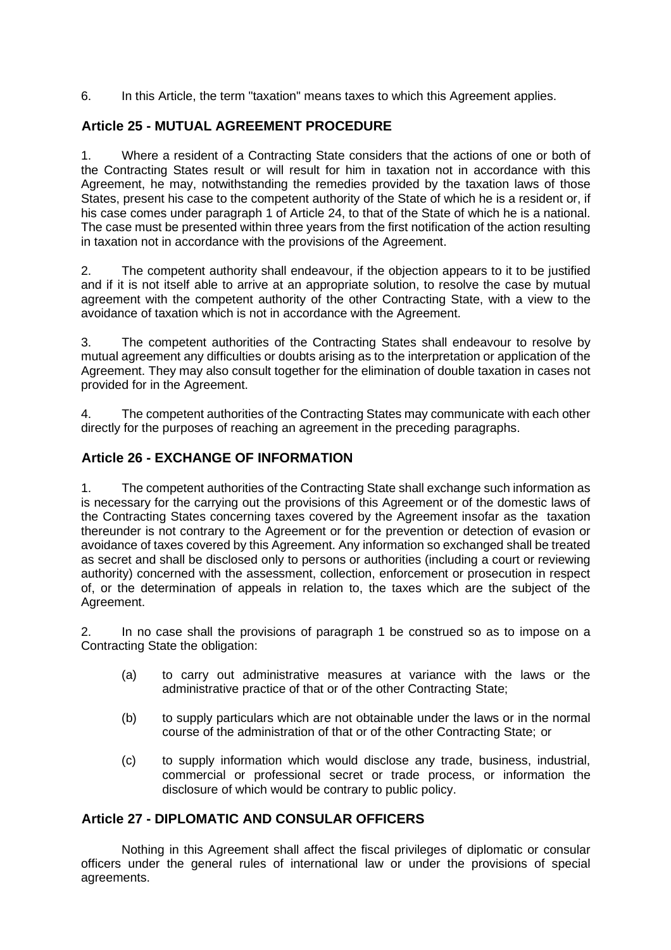6. In this Article, the term "taxation" means taxes to which this Agreement applies.

## **Article 25 - MUTUAL AGREEMENT PROCEDURE**

1. Where a resident of a Contracting State considers that the actions of one or both of the Contracting States result or will result for him in taxation not in accordance with this Agreement, he may, notwithstanding the remedies provided by the taxation laws of those States, present his case to the competent authority of the State of which he is a resident or, if his case comes under paragraph 1 of Article 24, to that of the State of which he is a national. The case must be presented within three years from the first notification of the action resulting in taxation not in accordance with the provisions of the Agreement.

2. The competent authority shall endeavour, if the objection appears to it to be justified and if it is not itself able to arrive at an appropriate solution, to resolve the case by mutual agreement with the competent authority of the other Contracting State, with a view to the avoidance of taxation which is not in accordance with the Agreement.

3. The competent authorities of the Contracting States shall endeavour to resolve by mutual agreement any difficulties or doubts arising as to the interpretation or application of the Agreement. They may also consult together for the elimination of double taxation in cases not provided for in the Agreement.

4. The competent authorities of the Contracting States may communicate with each other directly for the purposes of reaching an agreement in the preceding paragraphs.

## **Article 26 - EXCHANGE OF INFORMATION**

1. The competent authorities of the Contracting State shall exchange such information as is necessary for the carrying out the provisions of this Agreement or of the domestic laws of the Contracting States concerning taxes covered by the Agreement insofar as the taxation thereunder is not contrary to the Agreement or for the prevention or detection of evasion or avoidance of taxes covered by this Agreement. Any information so exchanged shall be treated as secret and shall be disclosed only to persons or authorities (including a court or reviewing authority) concerned with the assessment, collection, enforcement or prosecution in respect of, or the determination of appeals in relation to, the taxes which are the subject of the Agreement.

2. In no case shall the provisions of paragraph 1 be construed so as to impose on a Contracting State the obligation:

- (a) to carry out administrative measures at variance with the laws or the administrative practice of that or of the other Contracting State;
- (b) to supply particulars which are not obtainable under the laws or in the normal course of the administration of that or of the other Contracting State; or
- (c) to supply information which would disclose any trade, business, industrial, commercial or professional secret or trade process, or information the disclosure of which would be contrary to public policy.

## **Article 27 - DIPLOMATIC AND CONSULAR OFFICERS**

Nothing in this Agreement shall affect the fiscal privileges of diplomatic or consular officers under the general rules of international law or under the provisions of special agreements.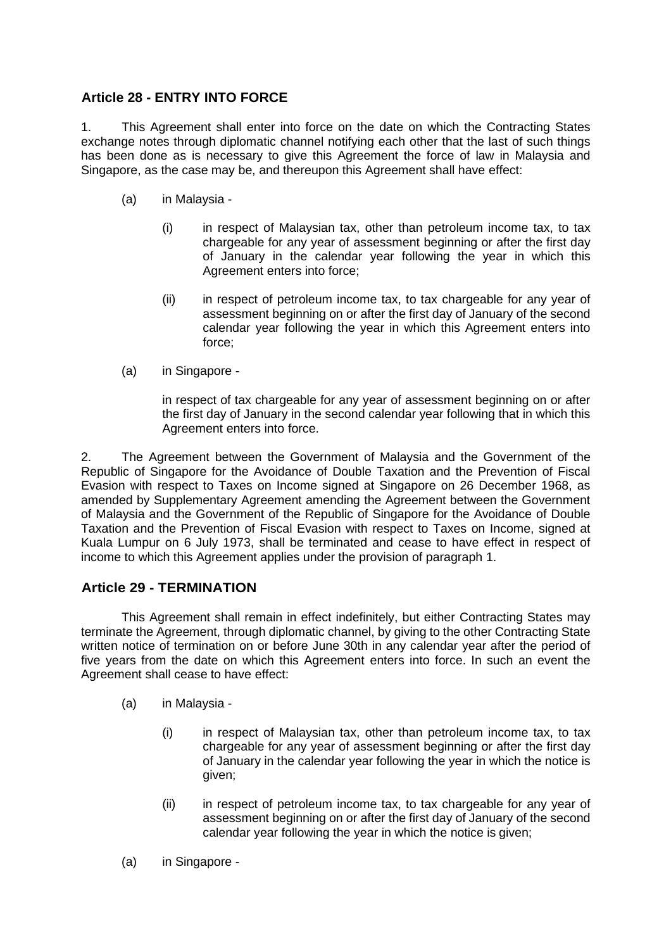## **Article 28 - ENTRY INTO FORCE**

1. This Agreement shall enter into force on the date on which the Contracting States exchange notes through diplomatic channel notifying each other that the last of such things has been done as is necessary to give this Agreement the force of law in Malaysia and Singapore, as the case may be, and thereupon this Agreement shall have effect:

- (a) in Malaysia
	- (i) in respect of Malaysian tax, other than petroleum income tax, to tax chargeable for any year of assessment beginning or after the first day of January in the calendar year following the year in which this Agreement enters into force;
	- (ii) in respect of petroleum income tax, to tax chargeable for any year of assessment beginning on or after the first day of January of the second calendar year following the year in which this Agreement enters into force;
- (a) in Singapore -

in respect of tax chargeable for any year of assessment beginning on or after the first day of January in the second calendar year following that in which this Agreement enters into force.

2. The Agreement between the Government of Malaysia and the Government of the Republic of Singapore for the Avoidance of Double Taxation and the Prevention of Fiscal Evasion with respect to Taxes on Income signed at Singapore on 26 December 1968, as amended by Supplementary Agreement amending the Agreement between the Government of Malaysia and the Government of the Republic of Singapore for the Avoidance of Double Taxation and the Prevention of Fiscal Evasion with respect to Taxes on Income, signed at Kuala Lumpur on 6 July 1973, shall be terminated and cease to have effect in respect of income to which this Agreement applies under the provision of paragraph 1.

# **Article 29 - TERMINATION**

This Agreement shall remain in effect indefinitely, but either Contracting States may terminate the Agreement, through diplomatic channel, by giving to the other Contracting State written notice of termination on or before June 30th in any calendar year after the period of five years from the date on which this Agreement enters into force. In such an event the Agreement shall cease to have effect:

- (a) in Malaysia
	- (i) in respect of Malaysian tax, other than petroleum income tax, to tax chargeable for any year of assessment beginning or after the first day of January in the calendar year following the year in which the notice is given;
	- (ii) in respect of petroleum income tax, to tax chargeable for any year of assessment beginning on or after the first day of January of the second calendar year following the year in which the notice is given;
- (a) in Singapore -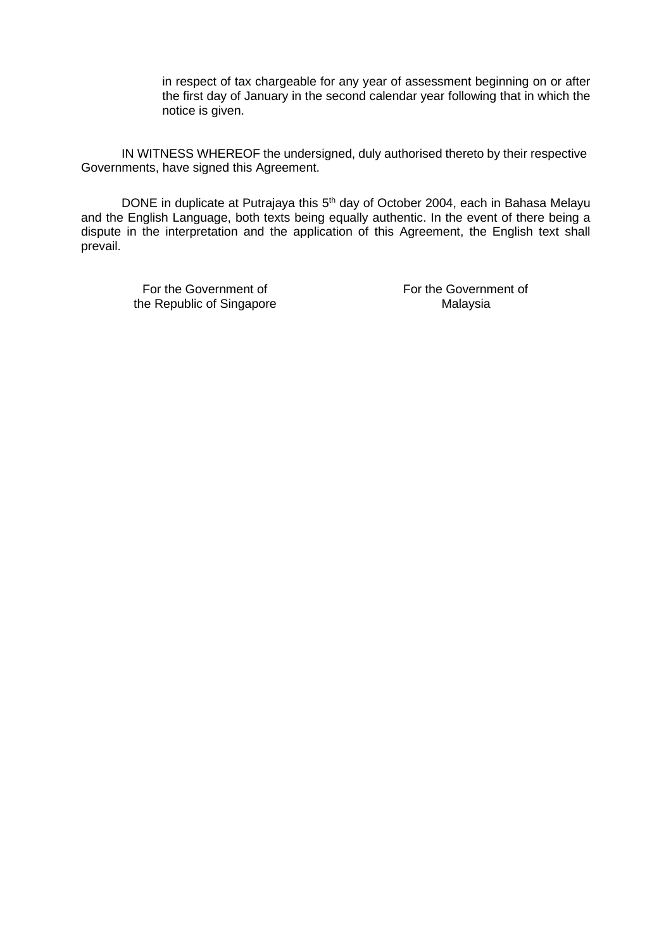in respect of tax chargeable for any year of assessment beginning on or after the first day of January in the second calendar year following that in which the notice is given.

IN WITNESS WHEREOF the undersigned, duly authorised thereto by their respective Governments, have signed this Agreement.

DONE in duplicate at Putrajaya this 5<sup>th</sup> day of October 2004, each in Bahasa Melayu and the English Language, both texts being equally authentic. In the event of there being a dispute in the interpretation and the application of this Agreement, the English text shall prevail.

> For the Government of the Republic of Singapore

For the Government of Malaysia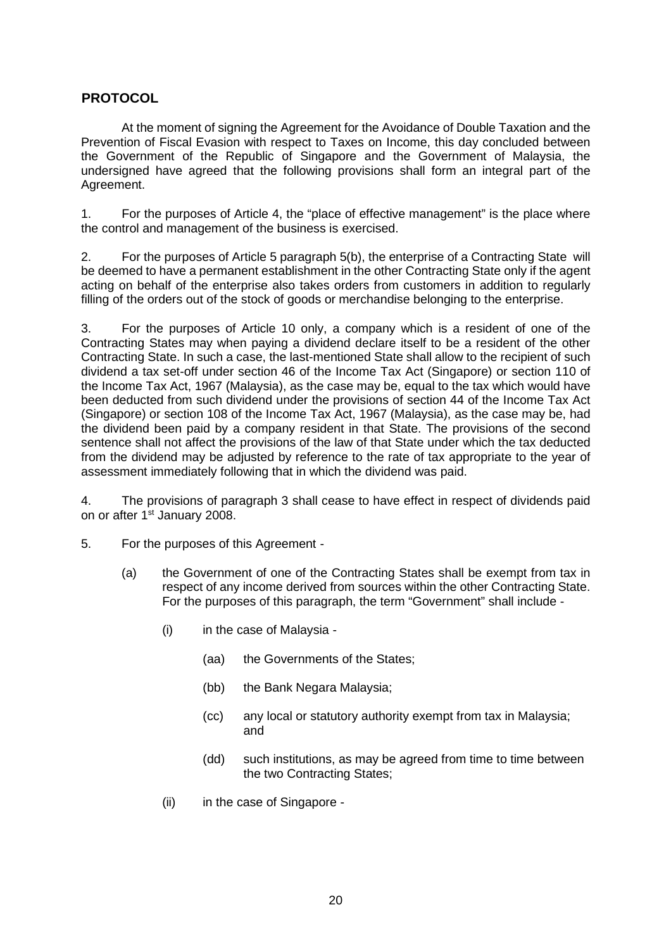#### **PROTOCOL**

At the moment of signing the Agreement for the Avoidance of Double Taxation and the Prevention of Fiscal Evasion with respect to Taxes on Income, this day concluded between the Government of the Republic of Singapore and the Government of Malaysia, the undersigned have agreed that the following provisions shall form an integral part of the Agreement.

1. For the purposes of Article 4, the "place of effective management" is the place where the control and management of the business is exercised.

2. For the purposes of Article 5 paragraph 5(b), the enterprise of a Contracting State will be deemed to have a permanent establishment in the other Contracting State only if the agent acting on behalf of the enterprise also takes orders from customers in addition to regularly filling of the orders out of the stock of goods or merchandise belonging to the enterprise.

3. For the purposes of Article 10 only, a company which is a resident of one of the Contracting States may when paying a dividend declare itself to be a resident of the other Contracting State. In such a case, the last-mentioned State shall allow to the recipient of such dividend a tax set-off under section 46 of the Income Tax Act (Singapore) or section 110 of the Income Tax Act, 1967 (Malaysia), as the case may be, equal to the tax which would have been deducted from such dividend under the provisions of section 44 of the Income Tax Act (Singapore) or section 108 of the Income Tax Act, 1967 (Malaysia), as the case may be, had the dividend been paid by a company resident in that State. The provisions of the second sentence shall not affect the provisions of the law of that State under which the tax deducted from the dividend may be adjusted by reference to the rate of tax appropriate to the year of assessment immediately following that in which the dividend was paid.

4. The provisions of paragraph 3 shall cease to have effect in respect of dividends paid on or after 1<sup>st</sup> January 2008.

5. For the purposes of this Agreement -

- (a) the Government of one of the Contracting States shall be exempt from tax in respect of any income derived from sources within the other Contracting State. For the purposes of this paragraph, the term "Government" shall include -
	- (i) in the case of Malaysia
		- (aa) the Governments of the States;
		- (bb) the Bank Negara Malaysia;
		- (cc) any local or statutory authority exempt from tax in Malaysia; and
		- (dd) such institutions, as may be agreed from time to time between the two Contracting States;
	- (ii) in the case of Singapore -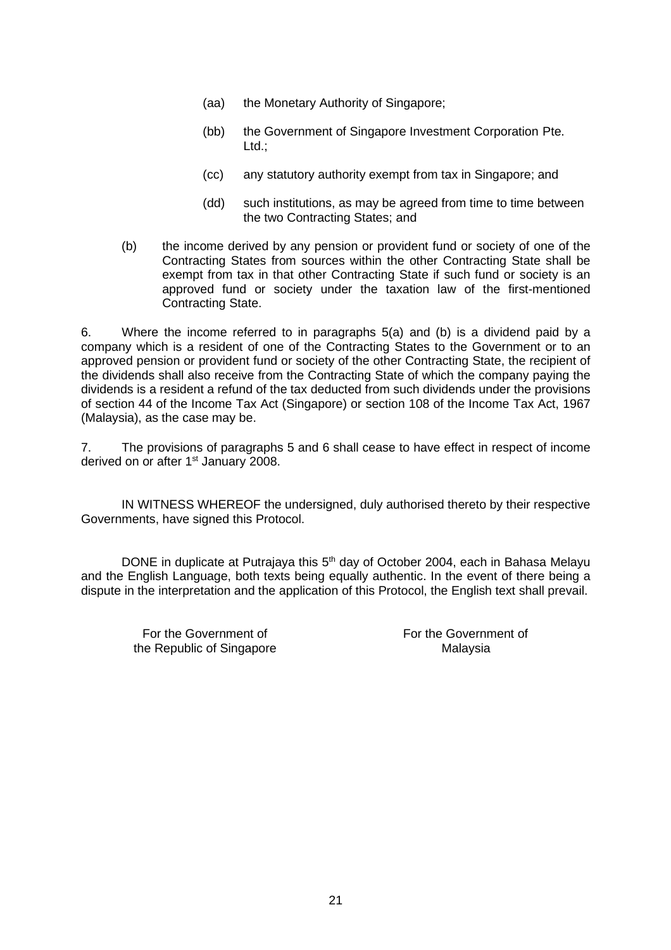- (aa) the Monetary Authority of Singapore;
- (bb) the Government of Singapore Investment Corporation Pte. Ltd.;
- (cc) any statutory authority exempt from tax in Singapore; and
- (dd) such institutions, as may be agreed from time to time between the two Contracting States; and
- (b) the income derived by any pension or provident fund or society of one of the Contracting States from sources within the other Contracting State shall be exempt from tax in that other Contracting State if such fund or society is an approved fund or society under the taxation law of the first-mentioned Contracting State.

6. Where the income referred to in paragraphs 5(a) and (b) is a dividend paid by a company which is a resident of one of the Contracting States to the Government or to an approved pension or provident fund or society of the other Contracting State, the recipient of the dividends shall also receive from the Contracting State of which the company paying the dividends is a resident a refund of the tax deducted from such dividends under the provisions of section 44 of the Income Tax Act (Singapore) or section 108 of the Income Tax Act, 1967 (Malaysia), as the case may be.

7. The provisions of paragraphs 5 and 6 shall cease to have effect in respect of income derived on or after 1<sup>st</sup> January 2008.

IN WITNESS WHEREOF the undersigned, duly authorised thereto by their respective Governments, have signed this Protocol.

DONE in duplicate at Putrajaya this 5<sup>th</sup> day of October 2004, each in Bahasa Melayu and the English Language, both texts being equally authentic. In the event of there being a dispute in the interpretation and the application of this Protocol, the English text shall prevail.

> For the Government of the Republic of Singapore

For the Government of Malaysia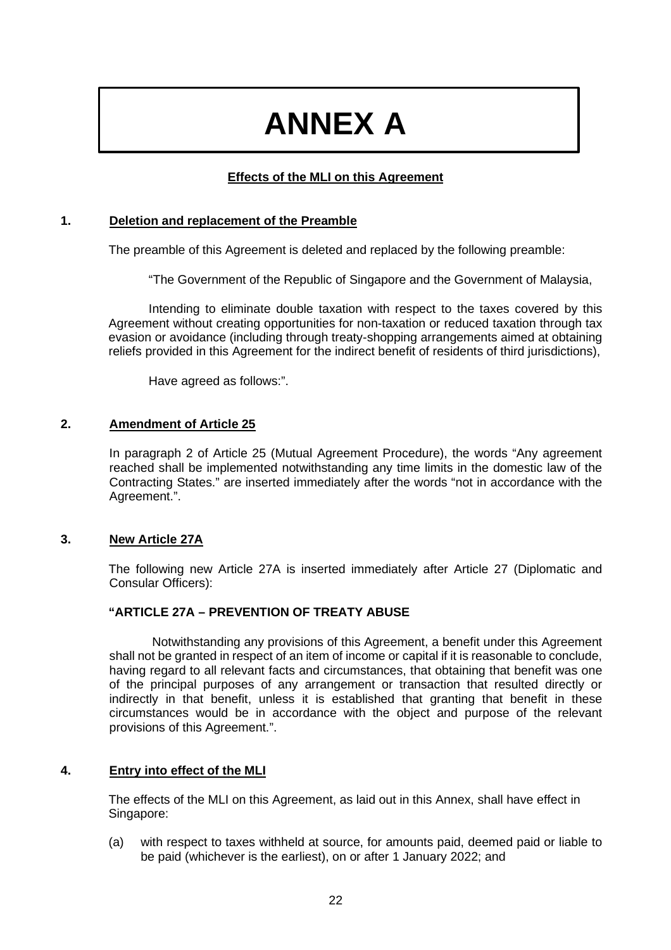# **ANNEX A**

## **Effects of the MLI on this Agreement**

#### **1. Deletion and replacement of the Preamble**

The preamble of this Agreement is deleted and replaced by the following preamble:

"The Government of the Republic of Singapore and the Government of Malaysia,

Intending to eliminate double taxation with respect to the taxes covered by this Agreement without creating opportunities for non-taxation or reduced taxation through tax evasion or avoidance (including through treaty-shopping arrangements aimed at obtaining reliefs provided in this Agreement for the indirect benefit of residents of third jurisdictions),

Have agreed as follows:".

#### **2. Amendment of Article 25**

In paragraph 2 of Article 25 (Mutual Agreement Procedure), the words "Any agreement reached shall be implemented notwithstanding any time limits in the domestic law of the Contracting States." are inserted immediately after the words "not in accordance with the Agreement.".

#### **3. New Article 27A**

The following new Article 27A is inserted immediately after Article 27 (Diplomatic and Consular Officers):

#### **"ARTICLE 27A – PREVENTION OF TREATY ABUSE**

Notwithstanding any provisions of this Agreement, a benefit under this Agreement shall not be granted in respect of an item of income or capital if it is reasonable to conclude, having regard to all relevant facts and circumstances, that obtaining that benefit was one of the principal purposes of any arrangement or transaction that resulted directly or indirectly in that benefit, unless it is established that granting that benefit in these circumstances would be in accordance with the object and purpose of the relevant provisions of this Agreement.".

#### **4. Entry into effect of the MLI**

The effects of the MLI on this Agreement, as laid out in this Annex, shall have effect in Singapore:

(a) with respect to taxes withheld at source, for amounts paid, deemed paid or liable to be paid (whichever is the earliest), on or after 1 January 2022; and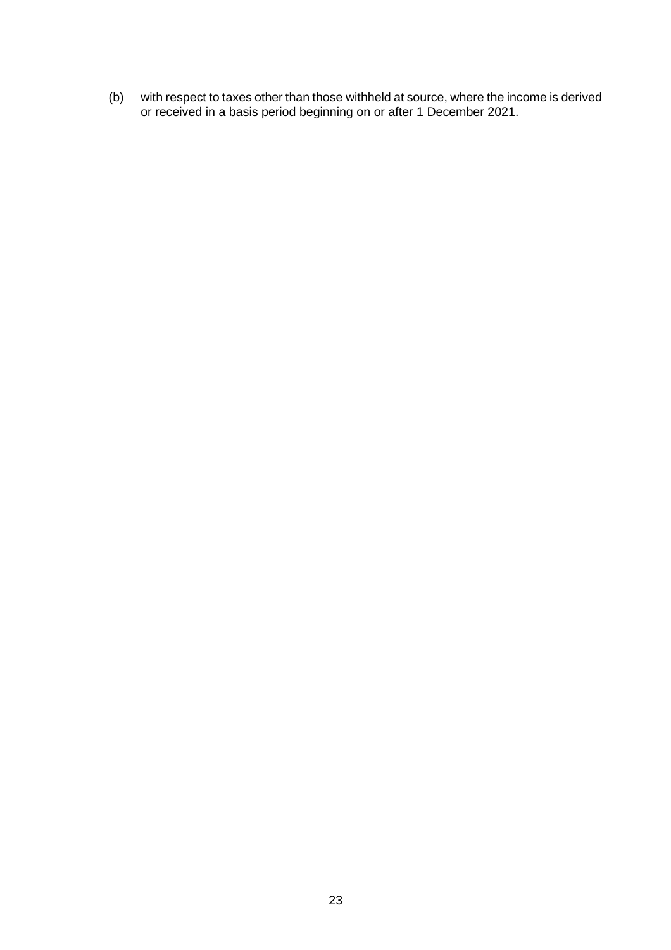(b) with respect to taxes other than those withheld at source, where the income is derived or received in a basis period beginning on or after 1 December 2021.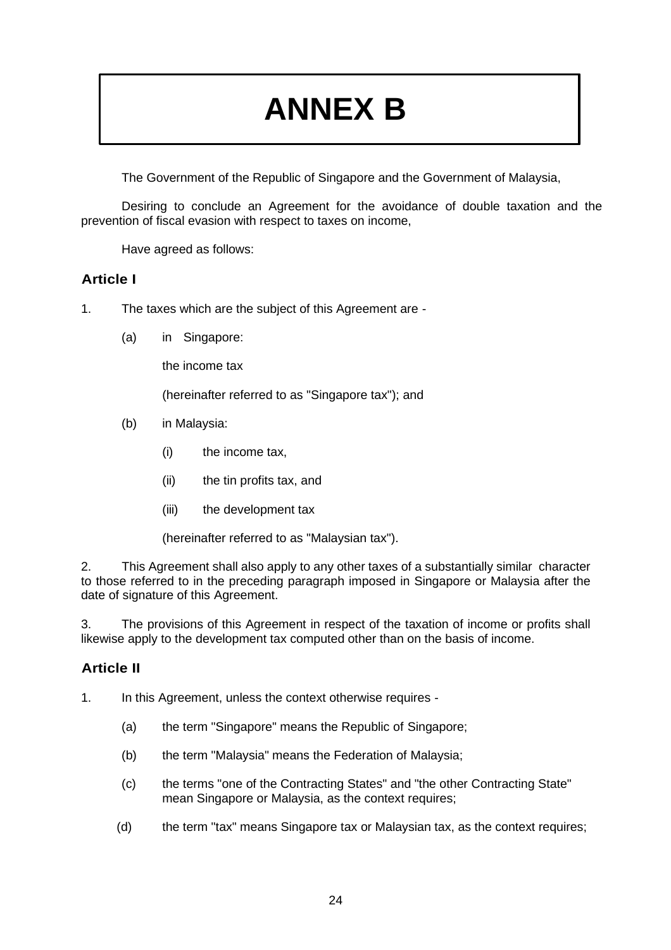# **ANNEX B**

The Government of the Republic of Singapore and the Government of Malaysia,

Desiring to conclude an Agreement for the avoidance of double taxation and the prevention of fiscal evasion with respect to taxes on income,

Have agreed as follows:

## **Article I**

1. The taxes which are the subject of this Agreement are -

(a) in Singapore:

the income tax

(hereinafter referred to as "Singapore tax"); and

- (b) in Malaysia:
	- (i) the income tax,
	- (ii) the tin profits tax, and
	- (iii) the development tax

(hereinafter referred to as "Malaysian tax").

2. This Agreement shall also apply to any other taxes of a substantially similar character to those referred to in the preceding paragraph imposed in Singapore or Malaysia after the date of signature of this Agreement.

3. The provisions of this Agreement in respect of the taxation of income or profits shall likewise apply to the development tax computed other than on the basis of income.

## **Article II**

1. In this Agreement, unless the context otherwise requires -

- (a) the term "Singapore" means the Republic of Singapore;
- (b) the term "Malaysia" means the Federation of Malaysia;
- (c) the terms "one of the Contracting States" and "the other Contracting State" mean Singapore or Malaysia, as the context requires;
- (d) the term "tax" means Singapore tax or Malaysian tax, as the context requires;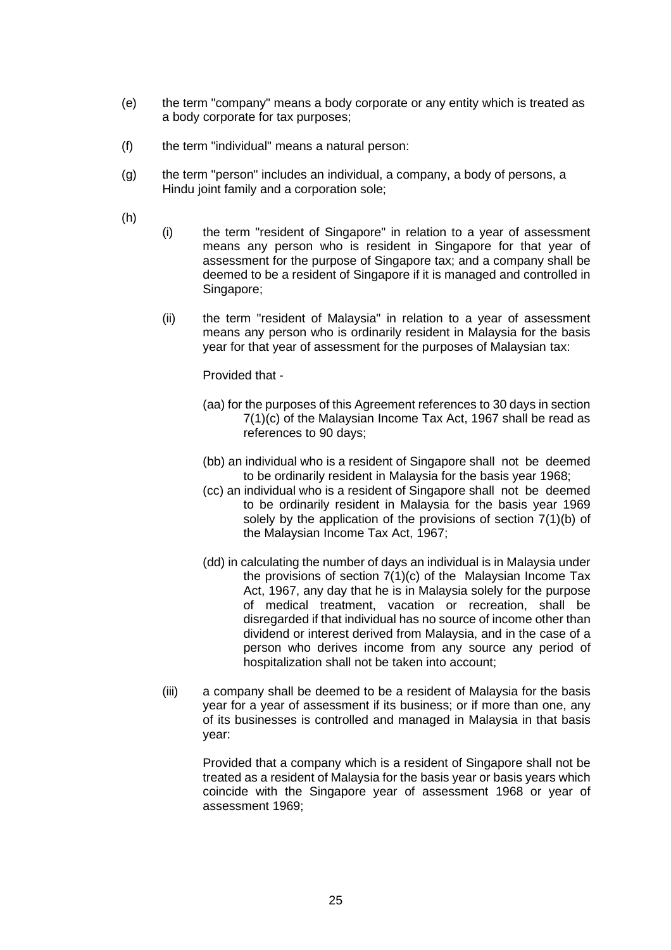- (e) the term "company" means a body corporate or any entity which is treated as a body corporate for tax purposes;
- (f) the term "individual" means a natural person:
- (g) the term "person" includes an individual, a company, a body of persons, a Hindu joint family and a corporation sole;
- (h)
- (i) the term "resident of Singapore" in relation to a year of assessment means any person who is resident in Singapore for that year of assessment for the purpose of Singapore tax; and a company shall be deemed to be a resident of Singapore if it is managed and controlled in Singapore;
- (ii) the term "resident of Malaysia" in relation to a year of assessment means any person who is ordinarily resident in Malaysia for the basis year for that year of assessment for the purposes of Malaysian tax:

Provided that -

- (aa) for the purposes of this Agreement references to 30 days in section 7(1)(c) of the Malaysian Income Tax Act, 1967 shall be read as references to 90 days;
- (bb) an individual who is a resident of Singapore shall not be deemed to be ordinarily resident in Malaysia for the basis year 1968;
- (cc) an individual who is a resident of Singapore shall not be deemed to be ordinarily resident in Malaysia for the basis year 1969 solely by the application of the provisions of section 7(1)(b) of the Malaysian Income Tax Act, 1967;
- (dd) in calculating the number of days an individual is in Malaysia under the provisions of section 7(1)(c) of the Malaysian Income Tax Act, 1967, any day that he is in Malaysia solely for the purpose of medical treatment, vacation or recreation, shall be disregarded if that individual has no source of income other than dividend or interest derived from Malaysia, and in the case of a person who derives income from any source any period of hospitalization shall not be taken into account;
- (iii) a company shall be deemed to be a resident of Malaysia for the basis year for a year of assessment if its business; or if more than one, any of its businesses is controlled and managed in Malaysia in that basis year:

Provided that a company which is a resident of Singapore shall not be treated as a resident of Malaysia for the basis year or basis years which coincide with the Singapore year of assessment 1968 or year of assessment 1969;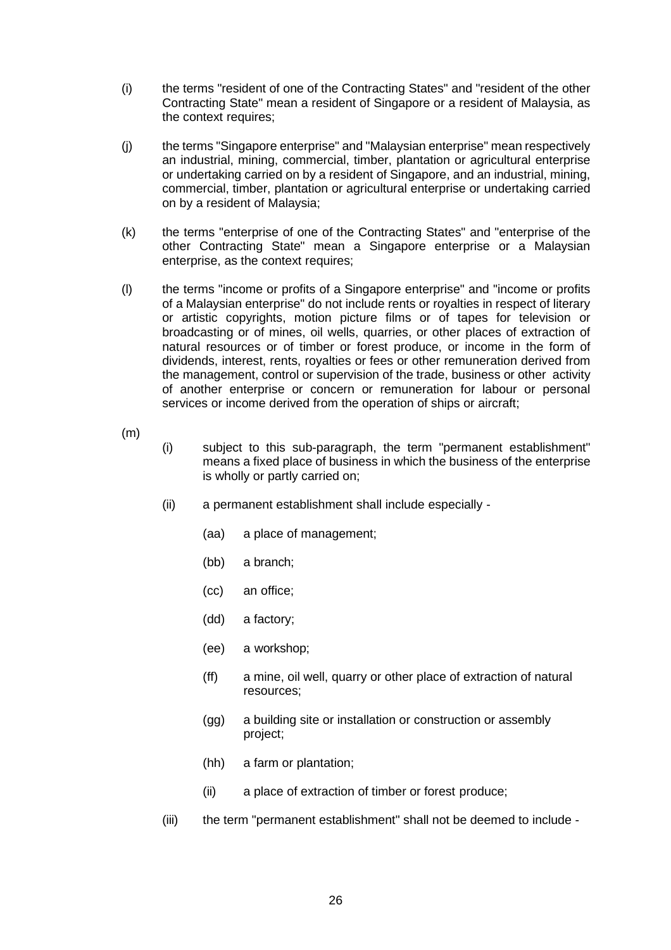- (i) the terms "resident of one of the Contracting States" and "resident of the other Contracting State" mean a resident of Singapore or a resident of Malaysia, as the context requires;
- (j) the terms "Singapore enterprise" and "Malaysian enterprise" mean respectively an industrial, mining, commercial, timber, plantation or agricultural enterprise or undertaking carried on by a resident of Singapore, and an industrial, mining, commercial, timber, plantation or agricultural enterprise or undertaking carried on by a resident of Malaysia;
- (k) the terms "enterprise of one of the Contracting States" and "enterprise of the other Contracting State" mean a Singapore enterprise or a Malaysian enterprise, as the context requires;
- (l) the terms "income or profits of a Singapore enterprise" and "income or profits of a Malaysian enterprise" do not include rents or royalties in respect of literary or artistic copyrights, motion picture films or of tapes for television or broadcasting or of mines, oil wells, quarries, or other places of extraction of natural resources or of timber or forest produce, or income in the form of dividends, interest, rents, royalties or fees or other remuneration derived from the management, control or supervision of the trade, business or other activity of another enterprise or concern or remuneration for labour or personal services or income derived from the operation of ships or aircraft;
- (m)
- (i) subject to this sub-paragraph, the term "permanent establishment" means a fixed place of business in which the business of the enterprise is wholly or partly carried on;
	- (ii) a permanent establishment shall include especially
		- (aa) a place of management;
		- (bb) a branch;
		- (cc) an office;
		- (dd) a factory;
		- (ee) a workshop;
		- (ff) a mine, oil well, quarry or other place of extraction of natural resources;
		- (gg) a building site or installation or construction or assembly project;
		- (hh) a farm or plantation;
		- (ii) a place of extraction of timber or forest produce;
	- (iii) the term "permanent establishment" shall not be deemed to include -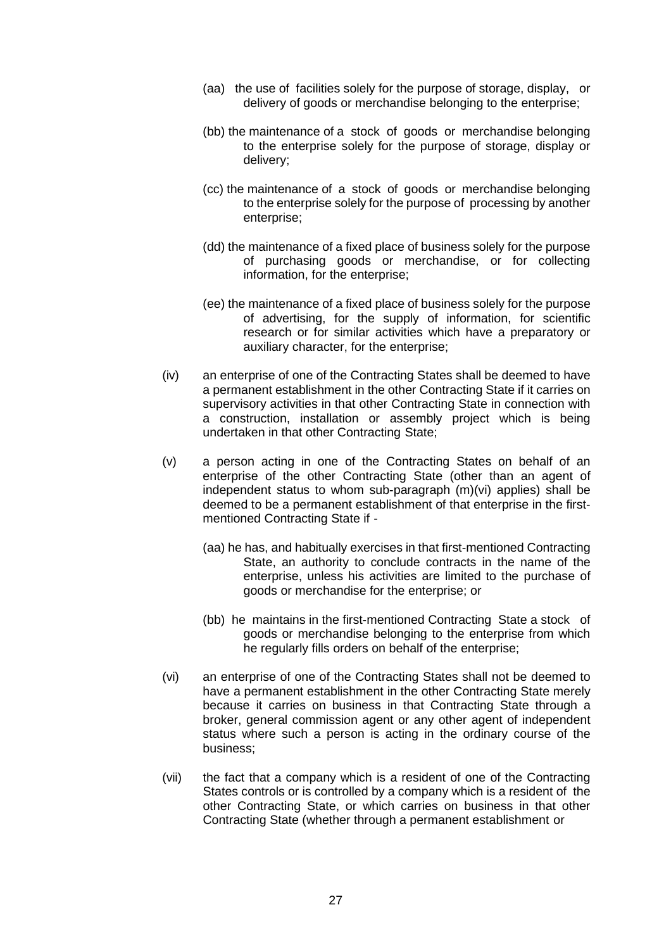- (aa) the use of facilities solely for the purpose of storage, display, or delivery of goods or merchandise belonging to the enterprise;
- (bb) the maintenance of a stock of goods or merchandise belonging to the enterprise solely for the purpose of storage, display or delivery;
- (cc) the maintenance of a stock of goods or merchandise belonging to the enterprise solely for the purpose of processing by another enterprise;
- (dd) the maintenance of a fixed place of business solely for the purpose of purchasing goods or merchandise, or for collecting information, for the enterprise;
- (ee) the maintenance of a fixed place of business solely for the purpose of advertising, for the supply of information, for scientific research or for similar activities which have a preparatory or auxiliary character, for the enterprise;
- (iv) an enterprise of one of the Contracting States shall be deemed to have a permanent establishment in the other Contracting State if it carries on supervisory activities in that other Contracting State in connection with a construction, installation or assembly project which is being undertaken in that other Contracting State;
- (v) a person acting in one of the Contracting States on behalf of an enterprise of the other Contracting State (other than an agent of independent status to whom sub-paragraph (m)(vi) applies) shall be deemed to be a permanent establishment of that enterprise in the firstmentioned Contracting State if -
	- (aa) he has, and habitually exercises in that first-mentioned Contracting State, an authority to conclude contracts in the name of the enterprise, unless his activities are limited to the purchase of goods or merchandise for the enterprise; or
	- (bb) he maintains in the first-mentioned Contracting State a stock of goods or merchandise belonging to the enterprise from which he regularly fills orders on behalf of the enterprise;
- (vi) an enterprise of one of the Contracting States shall not be deemed to have a permanent establishment in the other Contracting State merely because it carries on business in that Contracting State through a broker, general commission agent or any other agent of independent status where such a person is acting in the ordinary course of the business;
- (vii) the fact that a company which is a resident of one of the Contracting States controls or is controlled by a company which is a resident of the other Contracting State, or which carries on business in that other Contracting State (whether through a permanent establishment or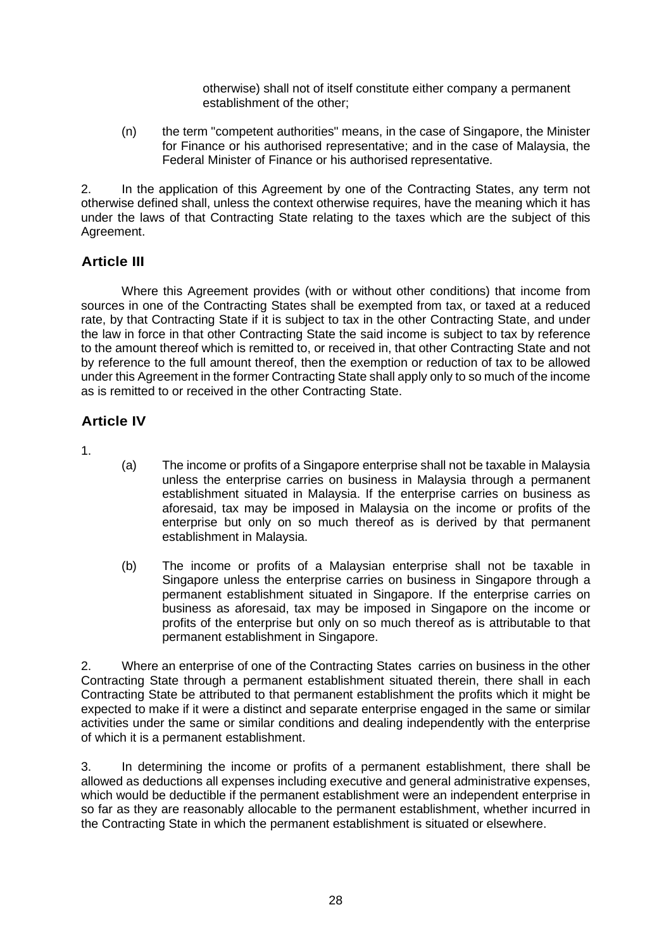otherwise) shall not of itself constitute either company a permanent establishment of the other;

(n) the term "competent authorities" means, in the case of Singapore, the Minister for Finance or his authorised representative; and in the case of Malaysia, the Federal Minister of Finance or his authorised representative.

2. In the application of this Agreement by one of the Contracting States, any term not otherwise defined shall, unless the context otherwise requires, have the meaning which it has under the laws of that Contracting State relating to the taxes which are the subject of this Agreement.

## **Article III**

Where this Agreement provides (with or without other conditions) that income from sources in one of the Contracting States shall be exempted from tax, or taxed at a reduced rate, by that Contracting State if it is subject to tax in the other Contracting State, and under the law in force in that other Contracting State the said income is subject to tax by reference to the amount thereof which is remitted to, or received in, that other Contracting State and not by reference to the full amount thereof, then the exemption or reduction of tax to be allowed under this Agreement in the former Contracting State shall apply only to so much of the income as is remitted to or received in the other Contracting State.

# **Article IV**

1.

- (a) The income or profits of a Singapore enterprise shall not be taxable in Malaysia unless the enterprise carries on business in Malaysia through a permanent establishment situated in Malaysia. If the enterprise carries on business as aforesaid, tax may be imposed in Malaysia on the income or profits of the enterprise but only on so much thereof as is derived by that permanent establishment in Malaysia.
- (b) The income or profits of a Malaysian enterprise shall not be taxable in Singapore unless the enterprise carries on business in Singapore through a permanent establishment situated in Singapore. If the enterprise carries on business as aforesaid, tax may be imposed in Singapore on the income or profits of the enterprise but only on so much thereof as is attributable to that permanent establishment in Singapore.

2. Where an enterprise of one of the Contracting States carries on business in the other Contracting State through a permanent establishment situated therein, there shall in each Contracting State be attributed to that permanent establishment the profits which it might be expected to make if it were a distinct and separate enterprise engaged in the same or similar activities under the same or similar conditions and dealing independently with the enterprise of which it is a permanent establishment.

3. In determining the income or profits of a permanent establishment, there shall be allowed as deductions all expenses including executive and general administrative expenses, which would be deductible if the permanent establishment were an independent enterprise in so far as they are reasonably allocable to the permanent establishment, whether incurred in the Contracting State in which the permanent establishment is situated or elsewhere.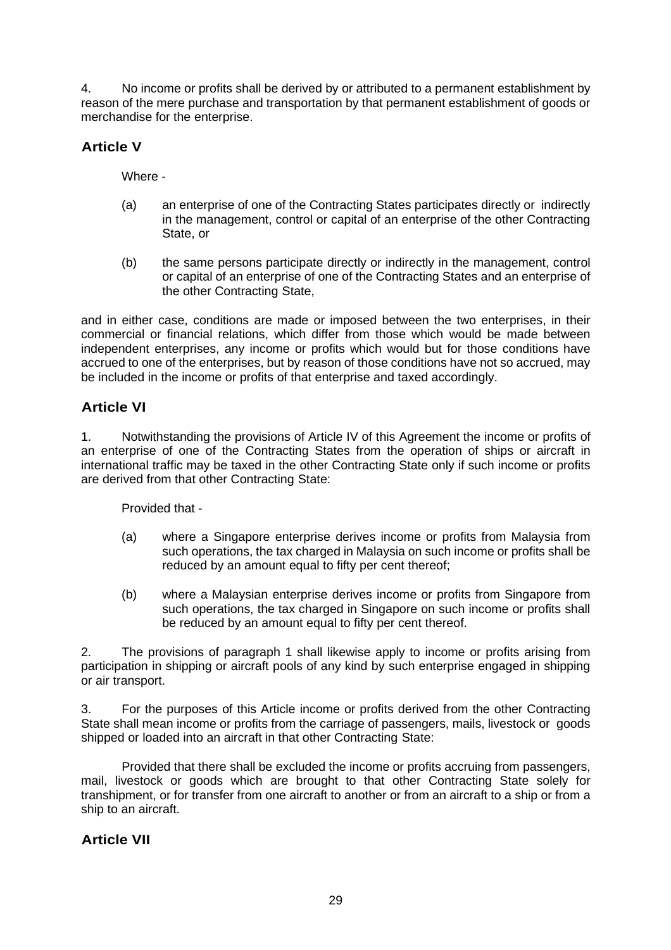4. No income or profits shall be derived by or attributed to a permanent establishment by reason of the mere purchase and transportation by that permanent establishment of goods or merchandise for the enterprise.

# **Article V**

Where -

- (a) an enterprise of one of the Contracting States participates directly or indirectly in the management, control or capital of an enterprise of the other Contracting State, or
- (b) the same persons participate directly or indirectly in the management, control or capital of an enterprise of one of the Contracting States and an enterprise of the other Contracting State,

and in either case, conditions are made or imposed between the two enterprises, in their commercial or financial relations, which differ from those which would be made between independent enterprises, any income or profits which would but for those conditions have accrued to one of the enterprises, but by reason of those conditions have not so accrued, may be included in the income or profits of that enterprise and taxed accordingly.

# **Article VI**

1. Notwithstanding the provisions of Article IV of this Agreement the income or profits of an enterprise of one of the Contracting States from the operation of ships or aircraft in international traffic may be taxed in the other Contracting State only if such income or profits are derived from that other Contracting State:

Provided that -

- (a) where a Singapore enterprise derives income or profits from Malaysia from such operations, the tax charged in Malaysia on such income or profits shall be reduced by an amount equal to fifty per cent thereof;
- (b) where a Malaysian enterprise derives income or profits from Singapore from such operations, the tax charged in Singapore on such income or profits shall be reduced by an amount equal to fifty per cent thereof.

2. The provisions of paragraph 1 shall likewise apply to income or profits arising from participation in shipping or aircraft pools of any kind by such enterprise engaged in shipping or air transport.

3. For the purposes of this Article income or profits derived from the other Contracting State shall mean income or profits from the carriage of passengers, mails, livestock or goods shipped or loaded into an aircraft in that other Contracting State:

Provided that there shall be excluded the income or profits accruing from passengers, mail, livestock or goods which are brought to that other Contracting State solely for transhipment, or for transfer from one aircraft to another or from an aircraft to a ship or from a ship to an aircraft.

# **Article VII**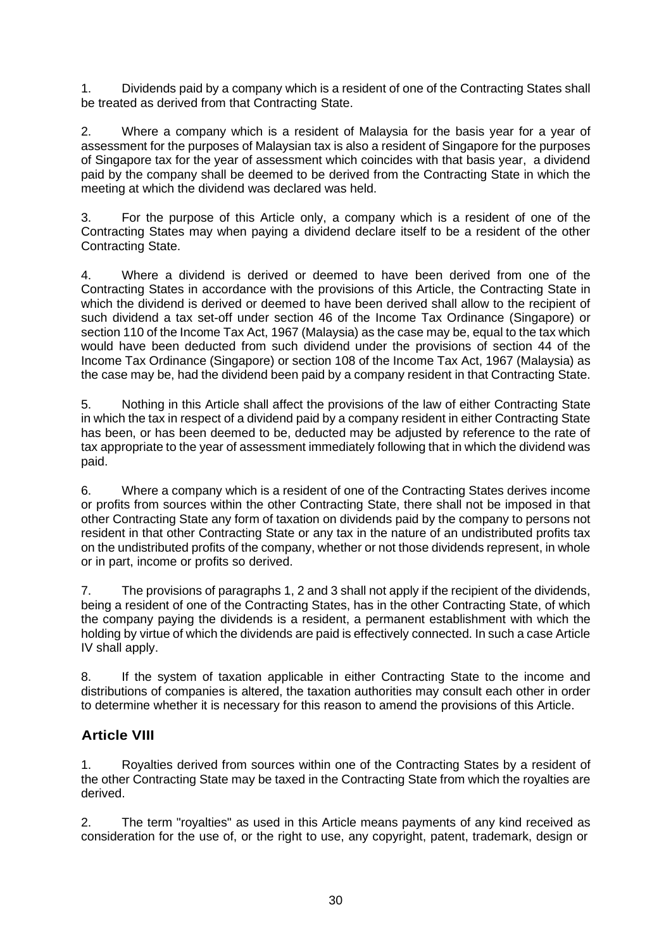1. Dividends paid by a company which is a resident of one of the Contracting States shall be treated as derived from that Contracting State.

2. Where a company which is a resident of Malaysia for the basis year for a year of assessment for the purposes of Malaysian tax is also a resident of Singapore for the purposes of Singapore tax for the year of assessment which coincides with that basis year, a dividend paid by the company shall be deemed to be derived from the Contracting State in which the meeting at which the dividend was declared was held.

3. For the purpose of this Article only, a company which is a resident of one of the Contracting States may when paying a dividend declare itself to be a resident of the other Contracting State.

4. Where a dividend is derived or deemed to have been derived from one of the Contracting States in accordance with the provisions of this Article, the Contracting State in which the dividend is derived or deemed to have been derived shall allow to the recipient of such dividend a tax set-off under section 46 of the Income Tax Ordinance (Singapore) or section 110 of the Income Tax Act, 1967 (Malaysia) as the case may be, equal to the tax which would have been deducted from such dividend under the provisions of section 44 of the Income Tax Ordinance (Singapore) or section 108 of the Income Tax Act, 1967 (Malaysia) as the case may be, had the dividend been paid by a company resident in that Contracting State.

5. Nothing in this Article shall affect the provisions of the law of either Contracting State in which the tax in respect of a dividend paid by a company resident in either Contracting State has been, or has been deemed to be, deducted may be adjusted by reference to the rate of tax appropriate to the year of assessment immediately following that in which the dividend was paid.

6. Where a company which is a resident of one of the Contracting States derives income or profits from sources within the other Contracting State, there shall not be imposed in that other Contracting State any form of taxation on dividends paid by the company to persons not resident in that other Contracting State or any tax in the nature of an undistributed profits tax on the undistributed profits of the company, whether or not those dividends represent, in whole or in part, income or profits so derived.

7. The provisions of paragraphs 1, 2 and 3 shall not apply if the recipient of the dividends, being a resident of one of the Contracting States, has in the other Contracting State, of which the company paying the dividends is a resident, a permanent establishment with which the holding by virtue of which the dividends are paid is effectively connected. In such a case Article IV shall apply.

8. If the system of taxation applicable in either Contracting State to the income and distributions of companies is altered, the taxation authorities may consult each other in order to determine whether it is necessary for this reason to amend the provisions of this Article.

# **Article VIII**

1. Royalties derived from sources within one of the Contracting States by a resident of the other Contracting State may be taxed in the Contracting State from which the royalties are derived.

2. The term "royalties" as used in this Article means payments of any kind received as consideration for the use of, or the right to use, any copyright, patent, trademark, design or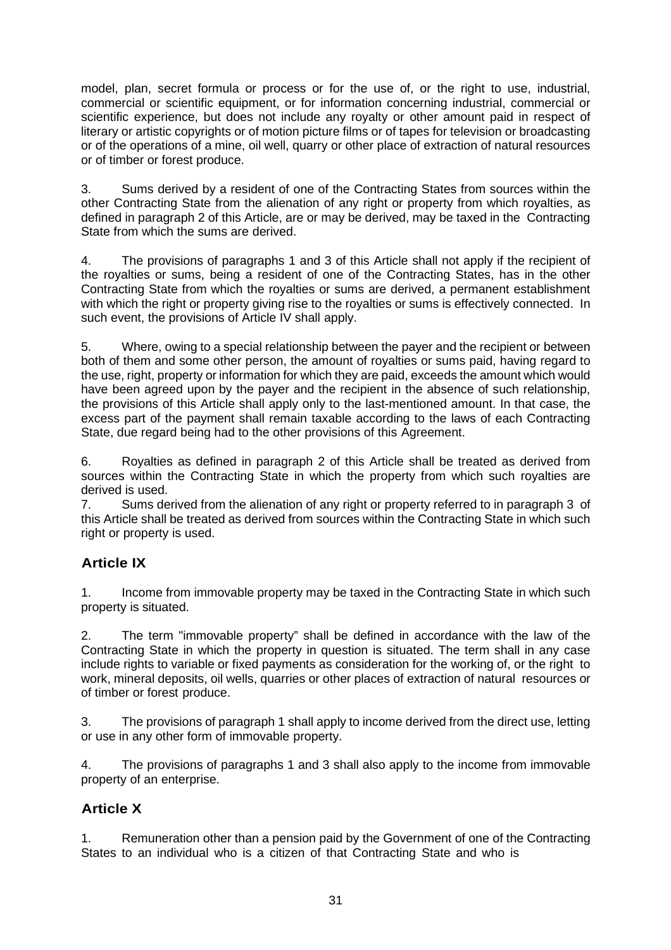model, plan, secret formula or process or for the use of, or the right to use, industrial, commercial or scientific equipment, or for information concerning industrial, commercial or scientific experience, but does not include any royalty or other amount paid in respect of literary or artistic copyrights or of motion picture films or of tapes for television or broadcasting or of the operations of a mine, oil well, quarry or other place of extraction of natural resources or of timber or forest produce.

3. Sums derived by a resident of one of the Contracting States from sources within the other Contracting State from the alienation of any right or property from which royalties, as defined in paragraph 2 of this Article, are or may be derived, may be taxed in the Contracting State from which the sums are derived.

4. The provisions of paragraphs 1 and 3 of this Article shall not apply if the recipient of the royalties or sums, being a resident of one of the Contracting States, has in the other Contracting State from which the royalties or sums are derived, a permanent establishment with which the right or property giving rise to the royalties or sums is effectively connected. In such event, the provisions of Article IV shall apply.

5. Where, owing to a special relationship between the payer and the recipient or between both of them and some other person, the amount of royalties or sums paid, having regard to the use, right, property or information for which they are paid, exceeds the amount which would have been agreed upon by the payer and the recipient in the absence of such relationship, the provisions of this Article shall apply only to the last-mentioned amount. In that case, the excess part of the payment shall remain taxable according to the laws of each Contracting State, due regard being had to the other provisions of this Agreement.

6. Royalties as defined in paragraph 2 of this Article shall be treated as derived from sources within the Contracting State in which the property from which such royalties are derived is used.

7. Sums derived from the alienation of any right or property referred to in paragraph 3 of this Article shall be treated as derived from sources within the Contracting State in which such right or property is used.

# **Article IX**

1. Income from immovable property may be taxed in the Contracting State in which such property is situated.

2. The term "immovable property" shall be defined in accordance with the law of the Contracting State in which the property in question is situated. The term shall in any case include rights to variable or fixed payments as consideration for the working of, or the right to work, mineral deposits, oil wells, quarries or other places of extraction of natural resources or of timber or forest produce.

3. The provisions of paragraph 1 shall apply to income derived from the direct use, letting or use in any other form of immovable property.

4. The provisions of paragraphs 1 and 3 shall also apply to the income from immovable property of an enterprise.

# **Article X**

1. Remuneration other than a pension paid by the Government of one of the Contracting States to an individual who is a citizen of that Contracting State and who is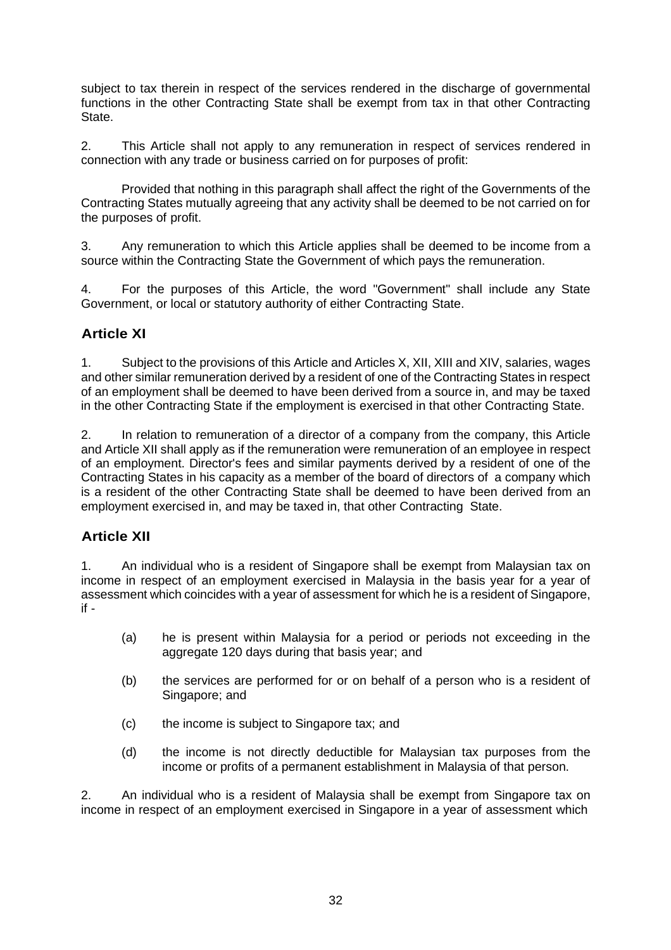subject to tax therein in respect of the services rendered in the discharge of governmental functions in the other Contracting State shall be exempt from tax in that other Contracting State.

2. This Article shall not apply to any remuneration in respect of services rendered in connection with any trade or business carried on for purposes of profit:

Provided that nothing in this paragraph shall affect the right of the Governments of the Contracting States mutually agreeing that any activity shall be deemed to be not carried on for the purposes of profit.

3. Any remuneration to which this Article applies shall be deemed to be income from a source within the Contracting State the Government of which pays the remuneration.

4. For the purposes of this Article, the word "Government" shall include any State Government, or local or statutory authority of either Contracting State.

# **Article XI**

1. Subject to the provisions of this Article and Articles X, XII, XIII and XIV, salaries, wages and other similar remuneration derived by a resident of one of the Contracting States in respect of an employment shall be deemed to have been derived from a source in, and may be taxed in the other Contracting State if the employment is exercised in that other Contracting State.

2. In relation to remuneration of a director of a company from the company, this Article and Article XII shall apply as if the remuneration were remuneration of an employee in respect of an employment. Director's fees and similar payments derived by a resident of one of the Contracting States in his capacity as a member of the board of directors of a company which is a resident of the other Contracting State shall be deemed to have been derived from an employment exercised in, and may be taxed in, that other Contracting State.

# **Article XII**

1. An individual who is a resident of Singapore shall be exempt from Malaysian tax on income in respect of an employment exercised in Malaysia in the basis year for a year of assessment which coincides with a year of assessment for which he is a resident of Singapore, if -

- (a) he is present within Malaysia for a period or periods not exceeding in the aggregate 120 days during that basis year; and
- (b) the services are performed for or on behalf of a person who is a resident of Singapore; and
- (c) the income is subject to Singapore tax; and
- (d) the income is not directly deductible for Malaysian tax purposes from the income or profits of a permanent establishment in Malaysia of that person.

2. An individual who is a resident of Malaysia shall be exempt from Singapore tax on income in respect of an employment exercised in Singapore in a year of assessment which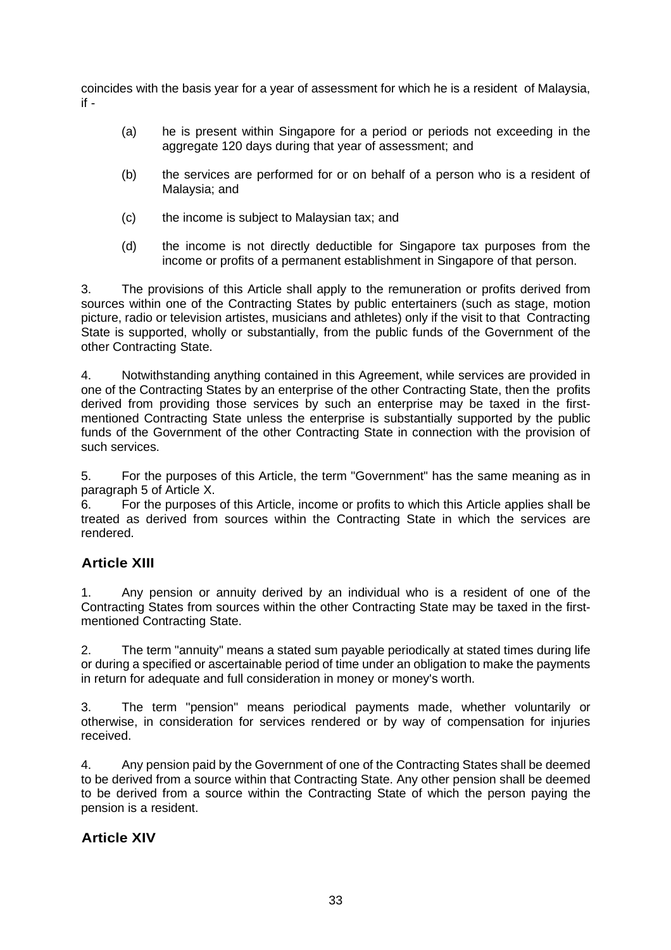coincides with the basis year for a year of assessment for which he is a resident of Malaysia, if -

- (a) he is present within Singapore for a period or periods not exceeding in the aggregate 120 days during that year of assessment; and
- (b) the services are performed for or on behalf of a person who is a resident of Malaysia; and
- (c) the income is subject to Malaysian tax; and
- (d) the income is not directly deductible for Singapore tax purposes from the income or profits of a permanent establishment in Singapore of that person.

3. The provisions of this Article shall apply to the remuneration or profits derived from sources within one of the Contracting States by public entertainers (such as stage, motion picture, radio or television artistes, musicians and athletes) only if the visit to that Contracting State is supported, wholly or substantially, from the public funds of the Government of the other Contracting State.

4. Notwithstanding anything contained in this Agreement, while services are provided in one of the Contracting States by an enterprise of the other Contracting State, then the profits derived from providing those services by such an enterprise may be taxed in the firstmentioned Contracting State unless the enterprise is substantially supported by the public funds of the Government of the other Contracting State in connection with the provision of such services.

5. For the purposes of this Article, the term "Government" has the same meaning as in paragraph 5 of Article X.

6. For the purposes of this Article, income or profits to which this Article applies shall be treated as derived from sources within the Contracting State in which the services are rendered.

# **Article XIII**

1. Any pension or annuity derived by an individual who is a resident of one of the Contracting States from sources within the other Contracting State may be taxed in the firstmentioned Contracting State.

2. The term "annuity" means a stated sum payable periodically at stated times during life or during a specified or ascertainable period of time under an obligation to make the payments in return for adequate and full consideration in money or money's worth.

3. The term "pension" means periodical payments made, whether voluntarily or otherwise, in consideration for services rendered or by way of compensation for injuries received.

4. Any pension paid by the Government of one of the Contracting States shall be deemed to be derived from a source within that Contracting State. Any other pension shall be deemed to be derived from a source within the Contracting State of which the person paying the pension is a resident.

## **Article XIV**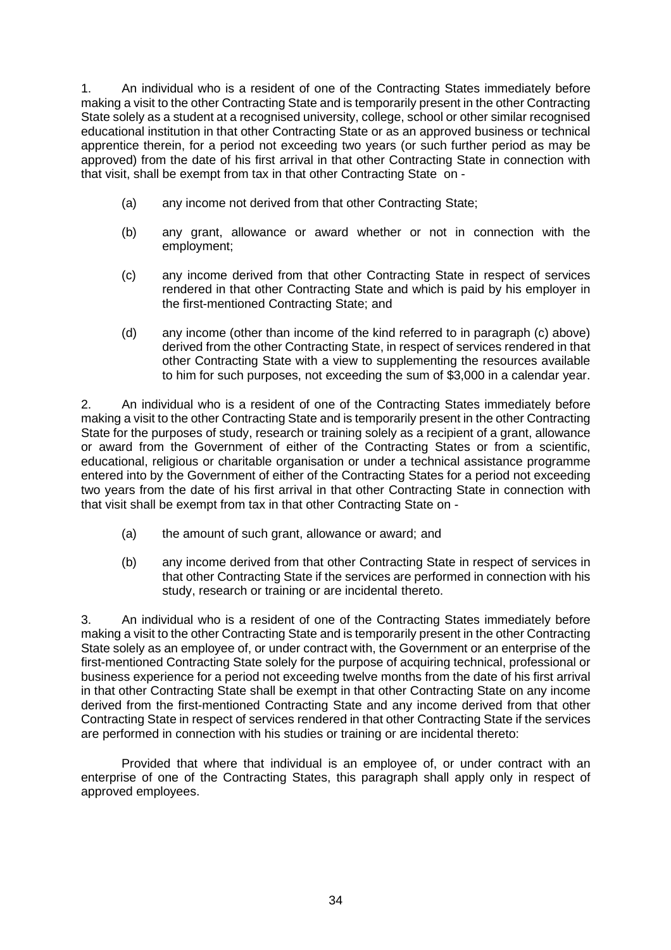1. An individual who is a resident of one of the Contracting States immediately before making a visit to the other Contracting State and is temporarily present in the other Contracting State solely as a student at a recognised university, college, school or other similar recognised educational institution in that other Contracting State or as an approved business or technical apprentice therein, for a period not exceeding two years (or such further period as may be approved) from the date of his first arrival in that other Contracting State in connection with that visit, shall be exempt from tax in that other Contracting State on -

- (a) any income not derived from that other Contracting State;
- (b) any grant, allowance or award whether or not in connection with the employment;
- (c) any income derived from that other Contracting State in respect of services rendered in that other Contracting State and which is paid by his employer in the first-mentioned Contracting State; and
- (d) any income (other than income of the kind referred to in paragraph (c) above) derived from the other Contracting State, in respect of services rendered in that other Contracting State with a view to supplementing the resources available to him for such purposes, not exceeding the sum of \$3,000 in a calendar year.

2. An individual who is a resident of one of the Contracting States immediately before making a visit to the other Contracting State and is temporarily present in the other Contracting State for the purposes of study, research or training solely as a recipient of a grant, allowance or award from the Government of either of the Contracting States or from a scientific, educational, religious or charitable organisation or under a technical assistance programme entered into by the Government of either of the Contracting States for a period not exceeding two years from the date of his first arrival in that other Contracting State in connection with that visit shall be exempt from tax in that other Contracting State on -

- (a) the amount of such grant, allowance or award; and
- (b) any income derived from that other Contracting State in respect of services in that other Contracting State if the services are performed in connection with his study, research or training or are incidental thereto.

3. An individual who is a resident of one of the Contracting States immediately before making a visit to the other Contracting State and is temporarily present in the other Contracting State solely as an employee of, or under contract with, the Government or an enterprise of the first-mentioned Contracting State solely for the purpose of acquiring technical, professional or business experience for a period not exceeding twelve months from the date of his first arrival in that other Contracting State shall be exempt in that other Contracting State on any income derived from the first-mentioned Contracting State and any income derived from that other Contracting State in respect of services rendered in that other Contracting State if the services are performed in connection with his studies or training or are incidental thereto:

Provided that where that individual is an employee of, or under contract with an enterprise of one of the Contracting States, this paragraph shall apply only in respect of approved employees.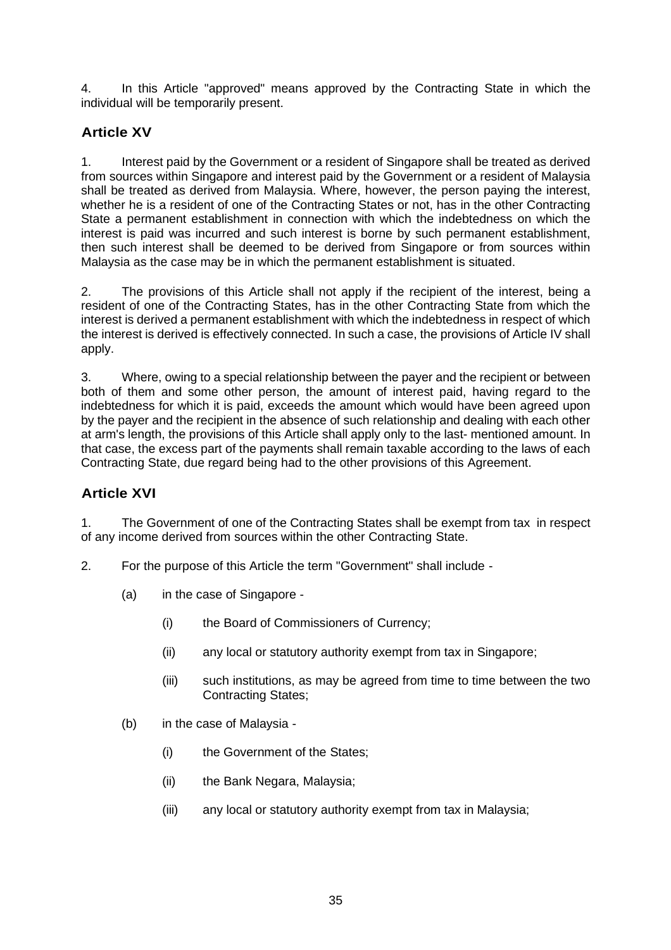4. In this Article "approved" means approved by the Contracting State in which the individual will be temporarily present.

# **Article XV**

1. Interest paid by the Government or a resident of Singapore shall be treated as derived from sources within Singapore and interest paid by the Government or a resident of Malaysia shall be treated as derived from Malaysia. Where, however, the person paying the interest, whether he is a resident of one of the Contracting States or not, has in the other Contracting State a permanent establishment in connection with which the indebtedness on which the interest is paid was incurred and such interest is borne by such permanent establishment, then such interest shall be deemed to be derived from Singapore or from sources within Malaysia as the case may be in which the permanent establishment is situated.

2. The provisions of this Article shall not apply if the recipient of the interest, being a resident of one of the Contracting States, has in the other Contracting State from which the interest is derived a permanent establishment with which the indebtedness in respect of which the interest is derived is effectively connected. In such a case, the provisions of Article IV shall apply.

3. Where, owing to a special relationship between the payer and the recipient or between both of them and some other person, the amount of interest paid, having regard to the indebtedness for which it is paid, exceeds the amount which would have been agreed upon by the payer and the recipient in the absence of such relationship and dealing with each other at arm's length, the provisions of this Article shall apply only to the last- mentioned amount. In that case, the excess part of the payments shall remain taxable according to the laws of each Contracting State, due regard being had to the other provisions of this Agreement.

# **Article XVI**

1. The Government of one of the Contracting States shall be exempt from tax in respect of any income derived from sources within the other Contracting State.

- 2. For the purpose of this Article the term "Government" shall include
	- (a) in the case of Singapore
		- (i) the Board of Commissioners of Currency;
		- (ii) any local or statutory authority exempt from tax in Singapore;
		- (iii) such institutions, as may be agreed from time to time between the two Contracting States;
	- (b) in the case of Malaysia
		- (i) the Government of the States;
		- (ii) the Bank Negara, Malaysia;
		- (iii) any local or statutory authority exempt from tax in Malaysia;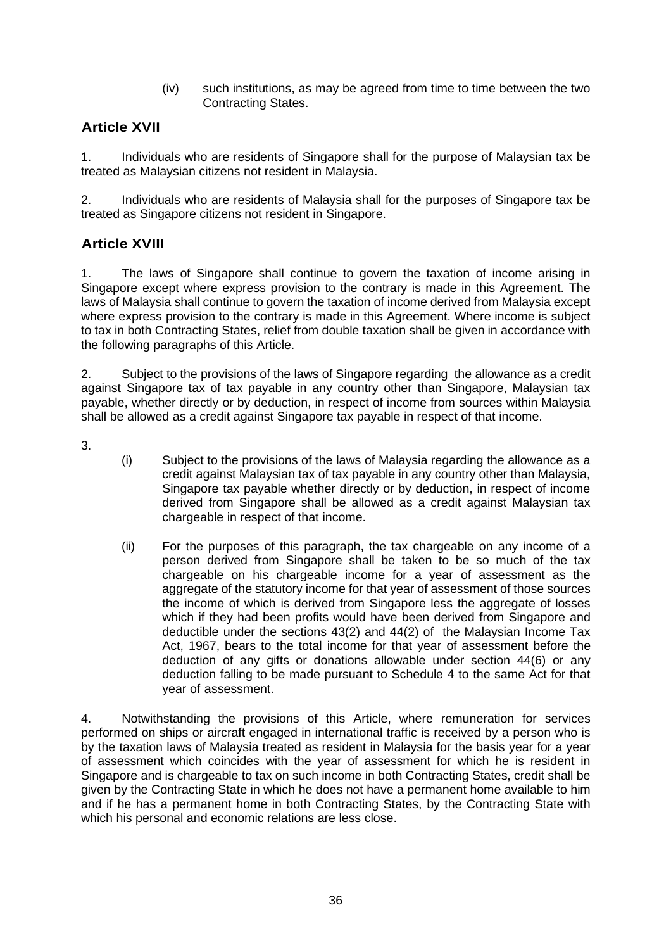(iv) such institutions, as may be agreed from time to time between the two Contracting States.

# **Article XVII**

1. Individuals who are residents of Singapore shall for the purpose of Malaysian tax be treated as Malaysian citizens not resident in Malaysia.

2. Individuals who are residents of Malaysia shall for the purposes of Singapore tax be treated as Singapore citizens not resident in Singapore.

## **Article XVIII**

1. The laws of Singapore shall continue to govern the taxation of income arising in Singapore except where express provision to the contrary is made in this Agreement. The laws of Malaysia shall continue to govern the taxation of income derived from Malaysia except where express provision to the contrary is made in this Agreement. Where income is subject to tax in both Contracting States, relief from double taxation shall be given in accordance with the following paragraphs of this Article.

2. Subject to the provisions of the laws of Singapore regarding the allowance as a credit against Singapore tax of tax payable in any country other than Singapore, Malaysian tax payable, whether directly or by deduction, in respect of income from sources within Malaysia shall be allowed as a credit against Singapore tax payable in respect of that income.

- 3.
- (i) Subject to the provisions of the laws of Malaysia regarding the allowance as a credit against Malaysian tax of tax payable in any country other than Malaysia, Singapore tax payable whether directly or by deduction, in respect of income derived from Singapore shall be allowed as a credit against Malaysian tax chargeable in respect of that income.
- (ii) For the purposes of this paragraph, the tax chargeable on any income of a person derived from Singapore shall be taken to be so much of the tax chargeable on his chargeable income for a year of assessment as the aggregate of the statutory income for that year of assessment of those sources the income of which is derived from Singapore less the aggregate of losses which if they had been profits would have been derived from Singapore and deductible under the sections 43(2) and 44(2) of the Malaysian Income Tax Act, 1967, bears to the total income for that year of assessment before the deduction of any gifts or donations allowable under section 44(6) or any deduction falling to be made pursuant to Schedule 4 to the same Act for that year of assessment.

4. Notwithstanding the provisions of this Article, where remuneration for services performed on ships or aircraft engaged in international traffic is received by a person who is by the taxation laws of Malaysia treated as resident in Malaysia for the basis year for a year of assessment which coincides with the year of assessment for which he is resident in Singapore and is chargeable to tax on such income in both Contracting States, credit shall be given by the Contracting State in which he does not have a permanent home available to him and if he has a permanent home in both Contracting States, by the Contracting State with which his personal and economic relations are less close.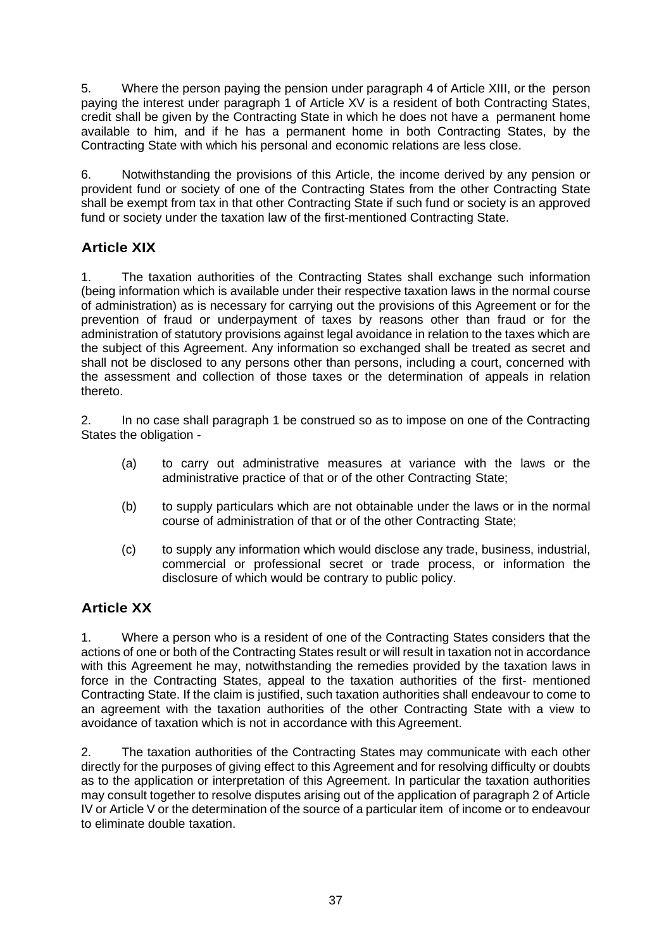5. Where the person paying the pension under paragraph 4 of Article XIII, or the person paying the interest under paragraph 1 of Article XV is a resident of both Contracting States, credit shall be given by the Contracting State in which he does not have a permanent home available to him, and if he has a permanent home in both Contracting States, by the Contracting State with which his personal and economic relations are less close.

6. Notwithstanding the provisions of this Article, the income derived by any pension or provident fund or society of one of the Contracting States from the other Contracting State shall be exempt from tax in that other Contracting State if such fund or society is an approved fund or society under the taxation law of the first-mentioned Contracting State.

# **Article XIX**

1. The taxation authorities of the Contracting States shall exchange such information (being information which is available under their respective taxation laws in the normal course of administration) as is necessary for carrying out the provisions of this Agreement or for the prevention of fraud or underpayment of taxes by reasons other than fraud or for the administration of statutory provisions against legal avoidance in relation to the taxes which are the subject of this Agreement. Any information so exchanged shall be treated as secret and shall not be disclosed to any persons other than persons, including a court, concerned with the assessment and collection of those taxes or the determination of appeals in relation thereto.

2. In no case shall paragraph 1 be construed so as to impose on one of the Contracting States the obligation -

- (a) to carry out administrative measures at variance with the laws or the administrative practice of that or of the other Contracting State;
- (b) to supply particulars which are not obtainable under the laws or in the normal course of administration of that or of the other Contracting State;
- (c) to supply any information which would disclose any trade, business, industrial, commercial or professional secret or trade process, or information the disclosure of which would be contrary to public policy.

# **Article XX**

1. Where a person who is a resident of one of the Contracting States considers that the actions of one or both of the Contracting States result or will result in taxation not in accordance with this Agreement he may, notwithstanding the remedies provided by the taxation laws in force in the Contracting States, appeal to the taxation authorities of the first- mentioned Contracting State. If the claim is justified, such taxation authorities shall endeavour to come to an agreement with the taxation authorities of the other Contracting State with a view to avoidance of taxation which is not in accordance with this Agreement.

2. The taxation authorities of the Contracting States may communicate with each other directly for the purposes of giving effect to this Agreement and for resolving difficulty or doubts as to the application or interpretation of this Agreement. In particular the taxation authorities may consult together to resolve disputes arising out of the application of paragraph 2 of Article IV or Article V or the determination of the source of a particular item of income or to endeavour to eliminate double taxation.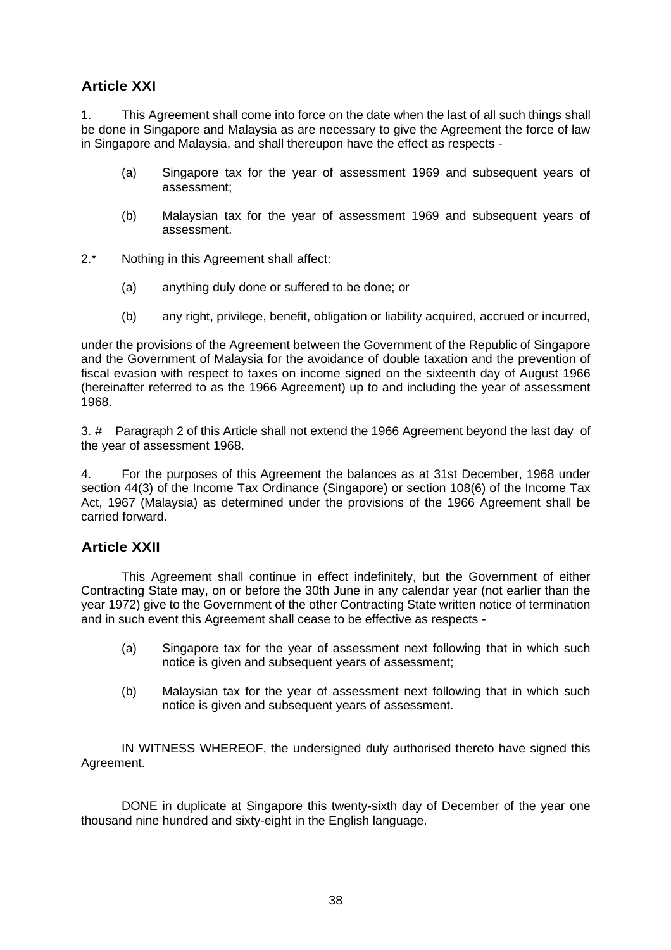# **Article XXI**

1. This Agreement shall come into force on the date when the last of all such things shall be done in Singapore and Malaysia as are necessary to give the Agreement the force of law in Singapore and Malaysia, and shall thereupon have the effect as respects -

- (a) Singapore tax for the year of assessment 1969 and subsequent years of assessment;
- (b) Malaysian tax for the year of assessment 1969 and subsequent years of assessment.
- 2.\* Nothing in this Agreement shall affect:
	- (a) anything duly done or suffered to be done; or
	- (b) any right, privilege, benefit, obligation or liability acquired, accrued or incurred,

under the provisions of the Agreement between the Government of the Republic of Singapore and the Government of Malaysia for the avoidance of double taxation and the prevention of fiscal evasion with respect to taxes on income signed on the sixteenth day of August 1966 (hereinafter referred to as the 1966 Agreement) up to and including the year of assessment 1968.

3. # Paragraph 2 of this Article shall not extend the 1966 Agreement beyond the last day of the year of assessment 1968.

4. For the purposes of this Agreement the balances as at 31st December, 1968 under section 44(3) of the Income Tax Ordinance (Singapore) or section 108(6) of the Income Tax Act, 1967 (Malaysia) as determined under the provisions of the 1966 Agreement shall be carried forward.

# **Article XXII**

This Agreement shall continue in effect indefinitely, but the Government of either Contracting State may, on or before the 30th June in any calendar year (not earlier than the year 1972) give to the Government of the other Contracting State written notice of termination and in such event this Agreement shall cease to be effective as respects -

- (a) Singapore tax for the year of assessment next following that in which such notice is given and subsequent years of assessment;
- (b) Malaysian tax for the year of assessment next following that in which such notice is given and subsequent years of assessment.

IN WITNESS WHEREOF, the undersigned duly authorised thereto have signed this Agreement.

DONE in duplicate at Singapore this twenty-sixth day of December of the year one thousand nine hundred and sixty-eight in the English language.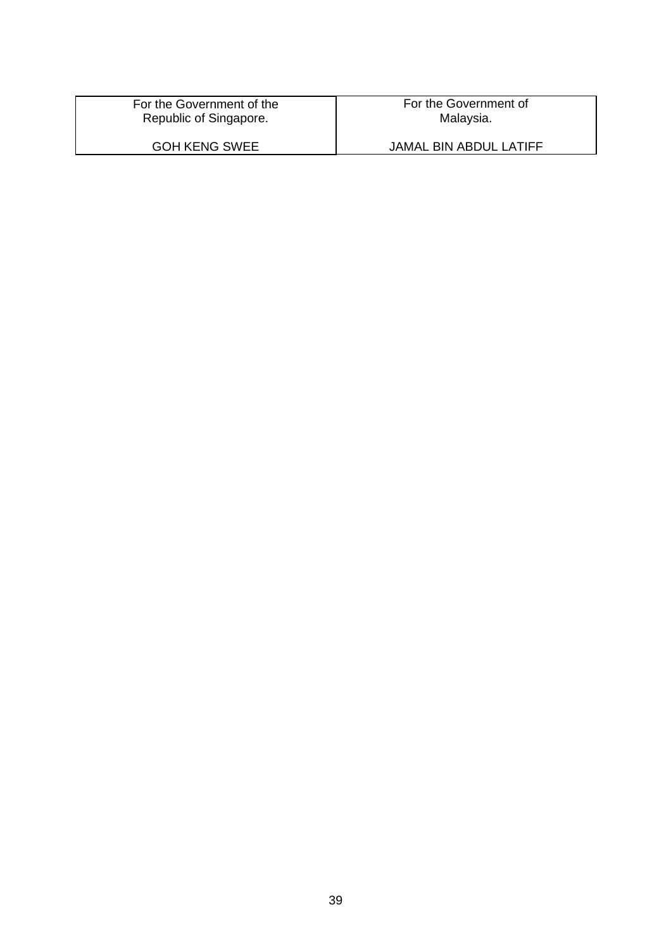| For the Government of the | For the Government of  |
|---------------------------|------------------------|
| Republic of Singapore.    | Malaysia.              |
| <b>GOH KENG SWEE</b>      | JAMAL BIN ABDUL LATIFF |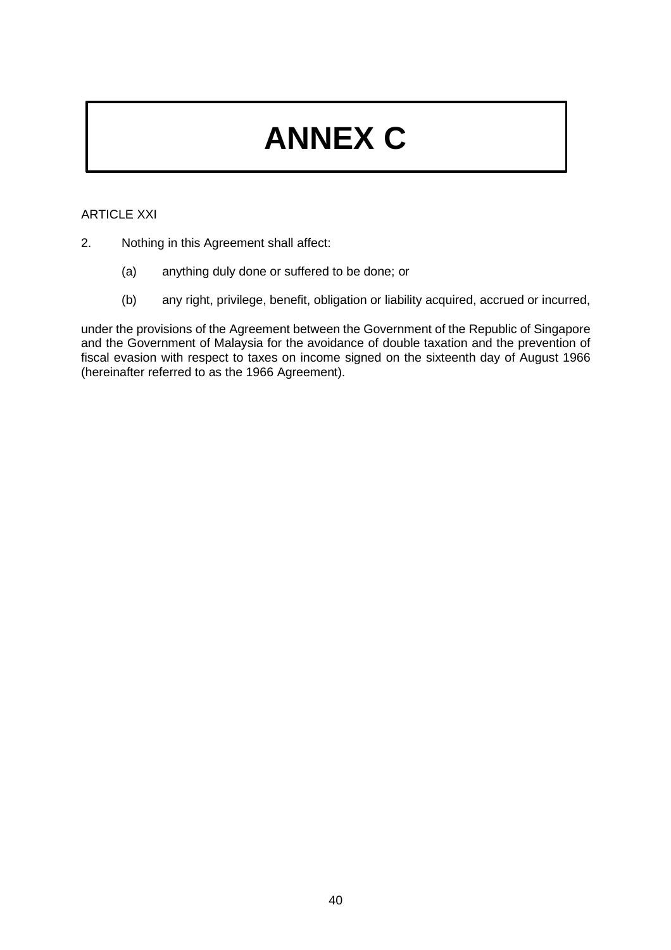# **ANNEX C**

#### ARTICLE XXI

- 2. Nothing in this Agreement shall affect:
	- (a) anything duly done or suffered to be done; or
	- (b) any right, privilege, benefit, obligation or liability acquired, accrued or incurred,

under the provisions of the Agreement between the Government of the Republic of Singapore and the Government of Malaysia for the avoidance of double taxation and the prevention of fiscal evasion with respect to taxes on income signed on the sixteenth day of August 1966 (hereinafter referred to as the 1966 Agreement).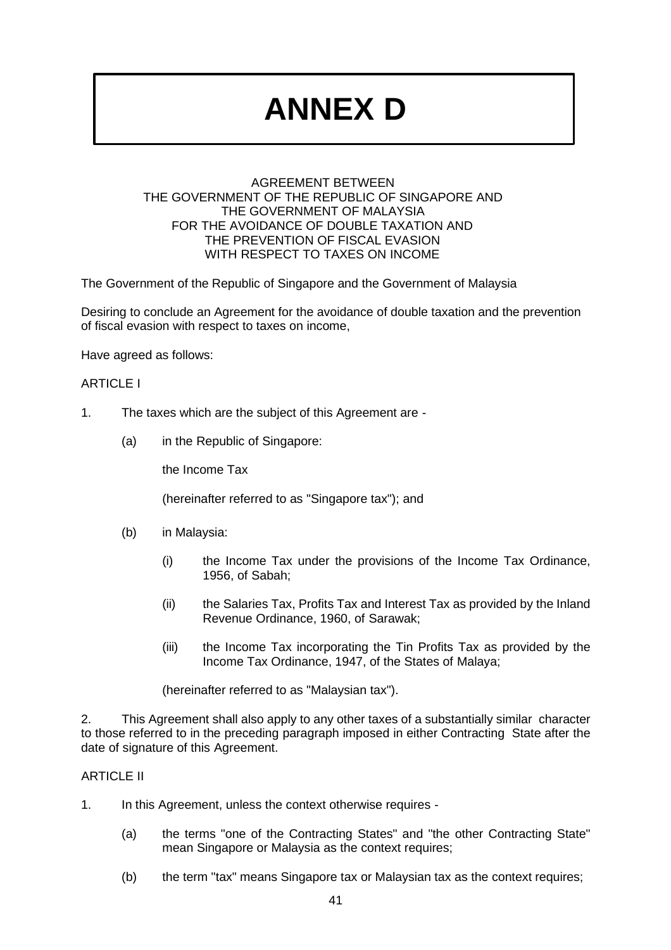# **ANNEX D**

#### AGREEMENT BETWEEN THE GOVERNMENT OF THE REPUBLIC OF SINGAPORE AND THE GOVERNMENT OF MALAYSIA FOR THE AVOIDANCE OF DOUBLE TAXATION AND THE PREVENTION OF FISCAL EVASION WITH RESPECT TO TAXES ON INCOME

The Government of the Republic of Singapore and the Government of Malaysia

Desiring to conclude an Agreement for the avoidance of double taxation and the prevention of fiscal evasion with respect to taxes on income,

Have agreed as follows:

#### ARTICLE I

- 1. The taxes which are the subject of this Agreement are
	- (a) in the Republic of Singapore:

the Income Tax

(hereinafter referred to as "Singapore tax"); and

- (b) in Malaysia:
	- (i) the Income Tax under the provisions of the Income Tax Ordinance, 1956, of Sabah;
	- (ii) the Salaries Tax, Profits Tax and Interest Tax as provided by the Inland Revenue Ordinance, 1960, of Sarawak;
	- (iii) the Income Tax incorporating the Tin Profits Tax as provided by the Income Tax Ordinance, 1947, of the States of Malaya;

(hereinafter referred to as "Malaysian tax").

2. This Agreement shall also apply to any other taxes of a substantially similar character to those referred to in the preceding paragraph imposed in either Contracting State after the date of signature of this Agreement.

#### ARTICLE II

- 1. In this Agreement, unless the context otherwise requires
	- (a) the terms "one of the Contracting States" and "the other Contracting State" mean Singapore or Malaysia as the context requires;
	- (b) the term "tax" means Singapore tax or Malaysian tax as the context requires;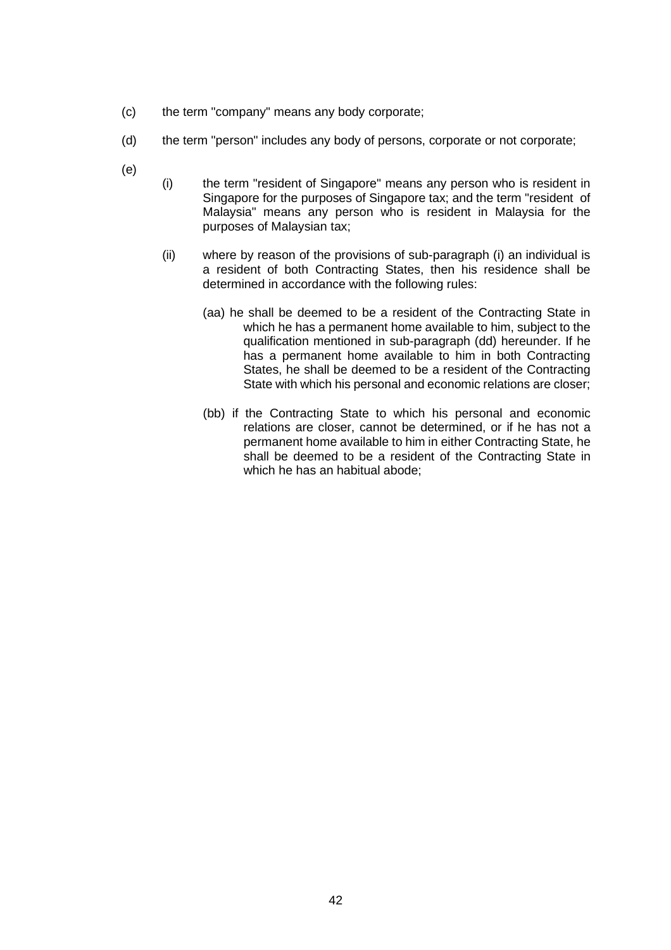- (c) the term "company" means any body corporate;
- (d) the term "person" includes any body of persons, corporate or not corporate;
- (e)
- (i) the term "resident of Singapore" means any person who is resident in Singapore for the purposes of Singapore tax; and the term "resident of Malaysia" means any person who is resident in Malaysia for the purposes of Malaysian tax;
- (ii) where by reason of the provisions of sub-paragraph (i) an individual is a resident of both Contracting States, then his residence shall be determined in accordance with the following rules:
	- (aa) he shall be deemed to be a resident of the Contracting State in which he has a permanent home available to him, subject to the qualification mentioned in sub-paragraph (dd) hereunder. If he has a permanent home available to him in both Contracting States, he shall be deemed to be a resident of the Contracting State with which his personal and economic relations are closer;
	- (bb) if the Contracting State to which his personal and economic relations are closer, cannot be determined, or if he has not a permanent home available to him in either Contracting State, he shall be deemed to be a resident of the Contracting State in which he has an habitual abode;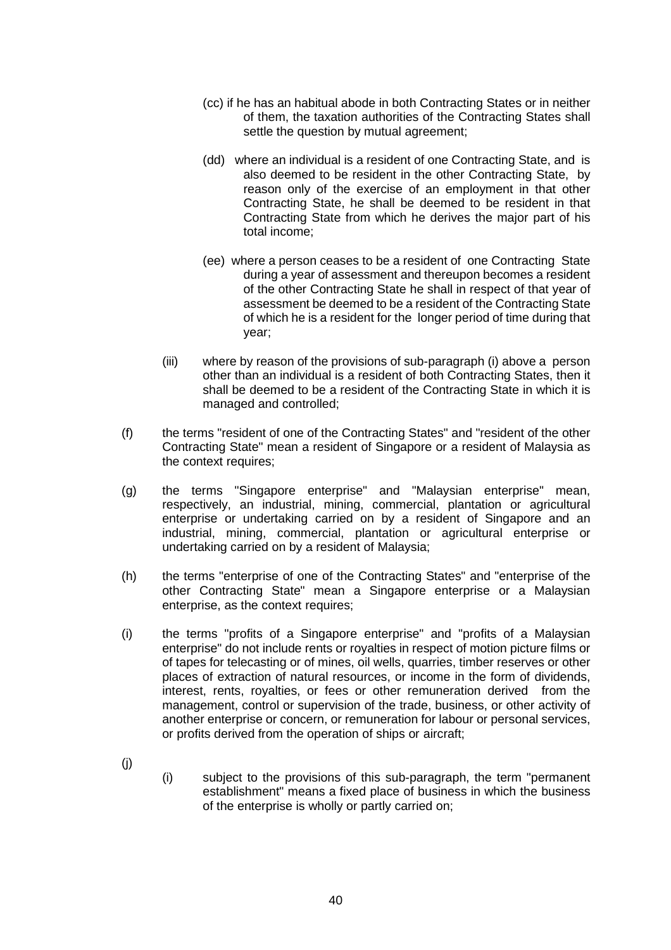- (cc) if he has an habitual abode in both Contracting States or in neither of them, the taxation authorities of the Contracting States shall settle the question by mutual agreement;
- (dd) where an individual is a resident of one Contracting State, and is also deemed to be resident in the other Contracting State, by reason only of the exercise of an employment in that other Contracting State, he shall be deemed to be resident in that Contracting State from which he derives the major part of his total income;
- (ee) where a person ceases to be a resident of one Contracting State during a year of assessment and thereupon becomes a resident of the other Contracting State he shall in respect of that year of assessment be deemed to be a resident of the Contracting State of which he is a resident for the longer period of time during that year;
- (iii) where by reason of the provisions of sub-paragraph (i) above a person other than an individual is a resident of both Contracting States, then it shall be deemed to be a resident of the Contracting State in which it is managed and controlled;
- (f) the terms "resident of one of the Contracting States" and "resident of the other Contracting State" mean a resident of Singapore or a resident of Malaysia as the context requires;
- (g) the terms "Singapore enterprise" and "Malaysian enterprise" mean, respectively, an industrial, mining, commercial, plantation or agricultural enterprise or undertaking carried on by a resident of Singapore and an industrial, mining, commercial, plantation or agricultural enterprise or undertaking carried on by a resident of Malaysia;
- (h) the terms "enterprise of one of the Contracting States" and "enterprise of the other Contracting State" mean a Singapore enterprise or a Malaysian enterprise, as the context requires;
- (i) the terms "profits of a Singapore enterprise" and "profits of a Malaysian enterprise" do not include rents or royalties in respect of motion picture films or of tapes for telecasting or of mines, oil wells, quarries, timber reserves or other places of extraction of natural resources, or income in the form of dividends, interest, rents, royalties, or fees or other remuneration derived from the management, control or supervision of the trade, business, or other activity of another enterprise or concern, or remuneration for labour or personal services, or profits derived from the operation of ships or aircraft;
- (j)
- (i) subject to the provisions of this sub-paragraph, the term "permanent establishment" means a fixed place of business in which the business of the enterprise is wholly or partly carried on;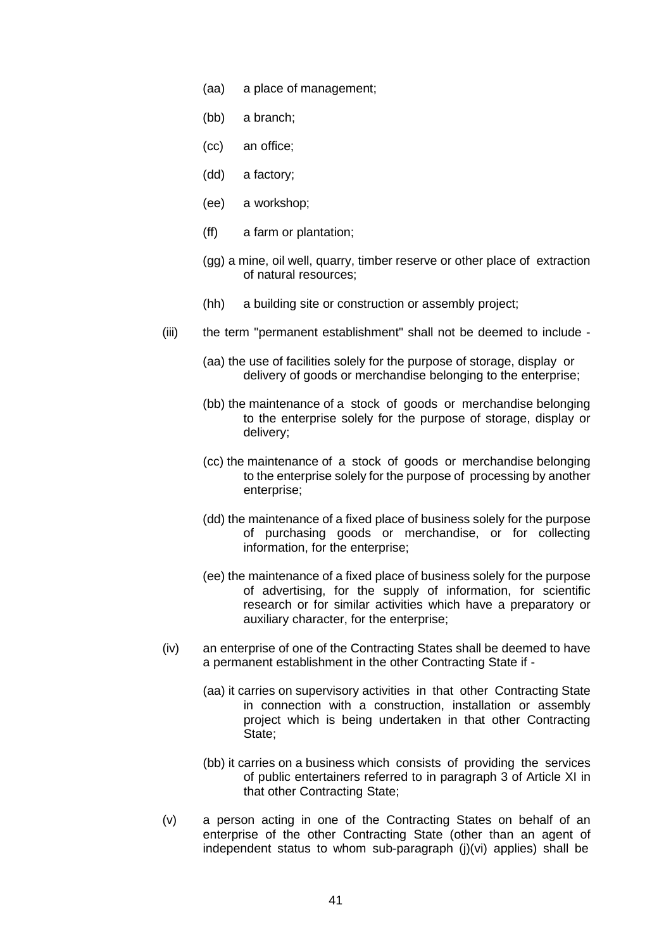- (aa) a place of management;
- (bb) a branch;
- (cc) an office;
- (dd) a factory;
- (ee) a workshop;
- (ff) a farm or plantation;
- (gg) a mine, oil well, quarry, timber reserve or other place of extraction of natural resources;
- (hh) a building site or construction or assembly project;
- (iii) the term "permanent establishment" shall not be deemed to include
	- (aa) the use of facilities solely for the purpose of storage, display or delivery of goods or merchandise belonging to the enterprise;
	- (bb) the maintenance of a stock of goods or merchandise belonging to the enterprise solely for the purpose of storage, display or delivery;
	- (cc) the maintenance of a stock of goods or merchandise belonging to the enterprise solely for the purpose of processing by another enterprise;
	- (dd) the maintenance of a fixed place of business solely for the purpose of purchasing goods or merchandise, or for collecting information, for the enterprise;
	- (ee) the maintenance of a fixed place of business solely for the purpose of advertising, for the supply of information, for scientific research or for similar activities which have a preparatory or auxiliary character, for the enterprise;
- (iv) an enterprise of one of the Contracting States shall be deemed to have a permanent establishment in the other Contracting State if -
	- (aa) it carries on supervisory activities in that other Contracting State in connection with a construction, installation or assembly project which is being undertaken in that other Contracting State;
	- (bb) it carries on a business which consists of providing the services of public entertainers referred to in paragraph 3 of Article XI in that other Contracting State;
- (v) a person acting in one of the Contracting States on behalf of an enterprise of the other Contracting State (other than an agent of independent status to whom sub-paragraph (j)(vi) applies) shall be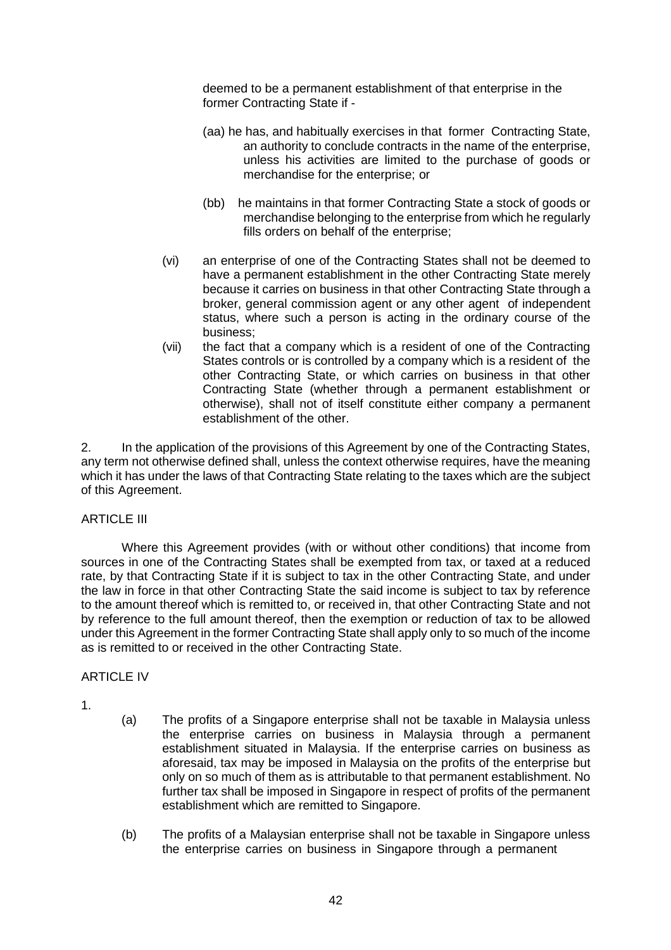deemed to be a permanent establishment of that enterprise in the former Contracting State if -

- (aa) he has, and habitually exercises in that former Contracting State, an authority to conclude contracts in the name of the enterprise, unless his activities are limited to the purchase of goods or merchandise for the enterprise; or
- (bb) he maintains in that former Contracting State a stock of goods or merchandise belonging to the enterprise from which he regularly fills orders on behalf of the enterprise;
- (vi) an enterprise of one of the Contracting States shall not be deemed to have a permanent establishment in the other Contracting State merely because it carries on business in that other Contracting State through a broker, general commission agent or any other agent of independent status, where such a person is acting in the ordinary course of the business;
- (vii) the fact that a company which is a resident of one of the Contracting States controls or is controlled by a company which is a resident of the other Contracting State, or which carries on business in that other Contracting State (whether through a permanent establishment or otherwise), shall not of itself constitute either company a permanent establishment of the other.

2. In the application of the provisions of this Agreement by one of the Contracting States, any term not otherwise defined shall, unless the context otherwise requires, have the meaning which it has under the laws of that Contracting State relating to the taxes which are the subject of this Agreement.

#### ARTICLE III

Where this Agreement provides (with or without other conditions) that income from sources in one of the Contracting States shall be exempted from tax, or taxed at a reduced rate, by that Contracting State if it is subject to tax in the other Contracting State, and under the law in force in that other Contracting State the said income is subject to tax by reference to the amount thereof which is remitted to, or received in, that other Contracting State and not by reference to the full amount thereof, then the exemption or reduction of tax to be allowed under this Agreement in the former Contracting State shall apply only to so much of the income as is remitted to or received in the other Contracting State.

#### **ARTICLE IV**

1.

- (a) The profits of a Singapore enterprise shall not be taxable in Malaysia unless the enterprise carries on business in Malaysia through a permanent establishment situated in Malaysia. If the enterprise carries on business as aforesaid, tax may be imposed in Malaysia on the profits of the enterprise but only on so much of them as is attributable to that permanent establishment. No further tax shall be imposed in Singapore in respect of profits of the permanent establishment which are remitted to Singapore.
- (b) The profits of a Malaysian enterprise shall not be taxable in Singapore unless the enterprise carries on business in Singapore through a permanent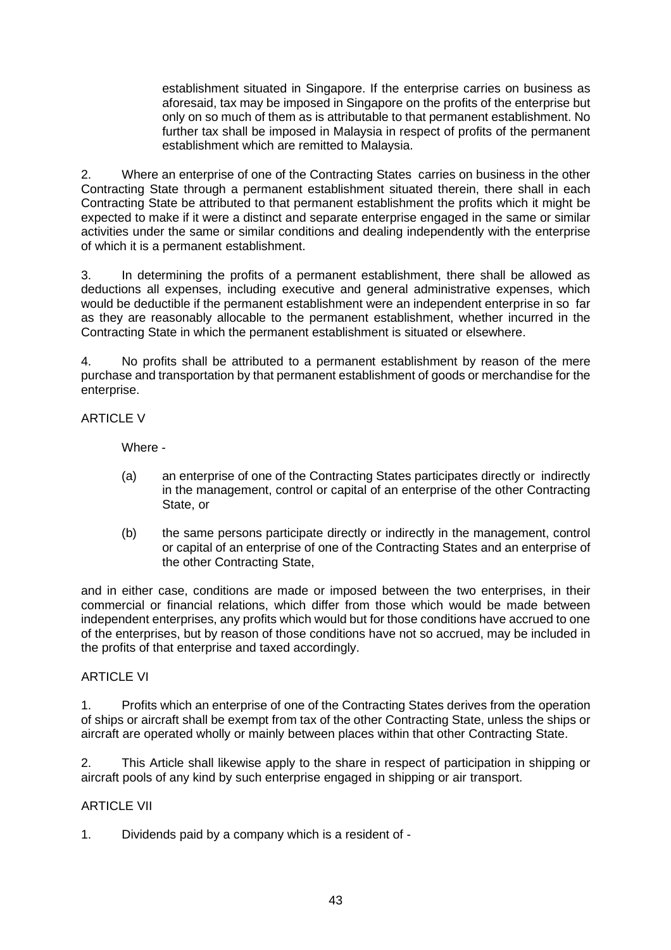establishment situated in Singapore. If the enterprise carries on business as aforesaid, tax may be imposed in Singapore on the profits of the enterprise but only on so much of them as is attributable to that permanent establishment. No further tax shall be imposed in Malaysia in respect of profits of the permanent establishment which are remitted to Malaysia.

2. Where an enterprise of one of the Contracting States carries on business in the other Contracting State through a permanent establishment situated therein, there shall in each Contracting State be attributed to that permanent establishment the profits which it might be expected to make if it were a distinct and separate enterprise engaged in the same or similar activities under the same or similar conditions and dealing independently with the enterprise of which it is a permanent establishment.

3. In determining the profits of a permanent establishment, there shall be allowed as deductions all expenses, including executive and general administrative expenses, which would be deductible if the permanent establishment were an independent enterprise in so far as they are reasonably allocable to the permanent establishment, whether incurred in the Contracting State in which the permanent establishment is situated or elsewhere.

4. No profits shall be attributed to a permanent establishment by reason of the mere purchase and transportation by that permanent establishment of goods or merchandise for the enterprise.

ARTICLE V

Where -

- (a) an enterprise of one of the Contracting States participates directly or indirectly in the management, control or capital of an enterprise of the other Contracting State, or
- (b) the same persons participate directly or indirectly in the management, control or capital of an enterprise of one of the Contracting States and an enterprise of the other Contracting State,

and in either case, conditions are made or imposed between the two enterprises, in their commercial or financial relations, which differ from those which would be made between independent enterprises, any profits which would but for those conditions have accrued to one of the enterprises, but by reason of those conditions have not so accrued, may be included in the profits of that enterprise and taxed accordingly.

## ARTICLE VI

1. Profits which an enterprise of one of the Contracting States derives from the operation of ships or aircraft shall be exempt from tax of the other Contracting State, unless the ships or aircraft are operated wholly or mainly between places within that other Contracting State.

2. This Article shall likewise apply to the share in respect of participation in shipping or aircraft pools of any kind by such enterprise engaged in shipping or air transport.

#### ARTICLE VII

1. Dividends paid by a company which is a resident of -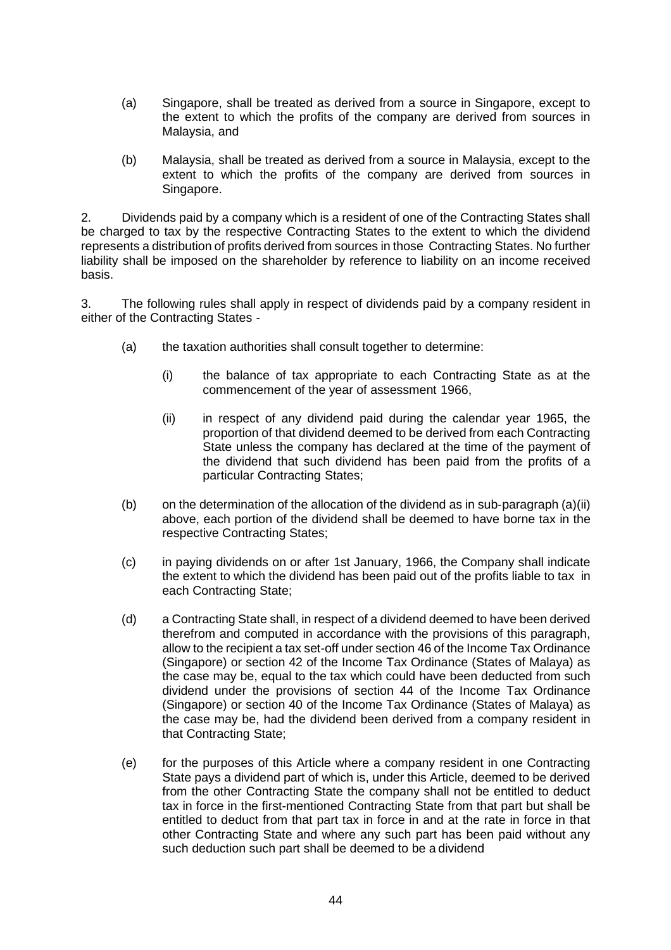- (a) Singapore, shall be treated as derived from a source in Singapore, except to the extent to which the profits of the company are derived from sources in Malaysia, and
- (b) Malaysia, shall be treated as derived from a source in Malaysia, except to the extent to which the profits of the company are derived from sources in Singapore.

2. Dividends paid by a company which is a resident of one of the Contracting States shall be charged to tax by the respective Contracting States to the extent to which the dividend represents a distribution of profits derived from sources in those Contracting States. No further liability shall be imposed on the shareholder by reference to liability on an income received basis.

3. The following rules shall apply in respect of dividends paid by a company resident in either of the Contracting States -

- (a) the taxation authorities shall consult together to determine:
	- (i) the balance of tax appropriate to each Contracting State as at the commencement of the year of assessment 1966,
	- (ii) in respect of any dividend paid during the calendar year 1965, the proportion of that dividend deemed to be derived from each Contracting State unless the company has declared at the time of the payment of the dividend that such dividend has been paid from the profits of a particular Contracting States;
- (b) on the determination of the allocation of the dividend as in sub-paragraph  $(a)(ii)$ above, each portion of the dividend shall be deemed to have borne tax in the respective Contracting States;
- (c) in paying dividends on or after 1st January, 1966, the Company shall indicate the extent to which the dividend has been paid out of the profits liable to tax in each Contracting State;
- (d) a Contracting State shall, in respect of a dividend deemed to have been derived therefrom and computed in accordance with the provisions of this paragraph, allow to the recipient a tax set-off under section 46 of the Income Tax Ordinance (Singapore) or section 42 of the Income Tax Ordinance (States of Malaya) as the case may be, equal to the tax which could have been deducted from such dividend under the provisions of section 44 of the Income Tax Ordinance (Singapore) or section 40 of the Income Tax Ordinance (States of Malaya) as the case may be, had the dividend been derived from a company resident in that Contracting State;
- (e) for the purposes of this Article where a company resident in one Contracting State pays a dividend part of which is, under this Article, deemed to be derived from the other Contracting State the company shall not be entitled to deduct tax in force in the first-mentioned Contracting State from that part but shall be entitled to deduct from that part tax in force in and at the rate in force in that other Contracting State and where any such part has been paid without any such deduction such part shall be deemed to be a dividend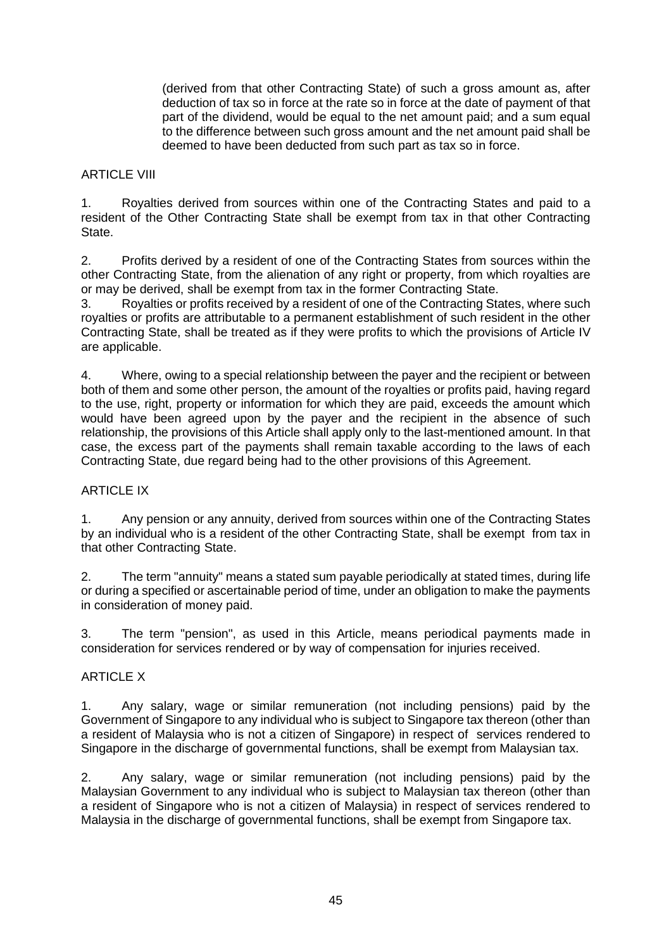(derived from that other Contracting State) of such a gross amount as, after deduction of tax so in force at the rate so in force at the date of payment of that part of the dividend, would be equal to the net amount paid; and a sum equal to the difference between such gross amount and the net amount paid shall be deemed to have been deducted from such part as tax so in force.

#### ARTICLE VIII

1. Royalties derived from sources within one of the Contracting States and paid to a resident of the Other Contracting State shall be exempt from tax in that other Contracting State.

2. Profits derived by a resident of one of the Contracting States from sources within the other Contracting State, from the alienation of any right or property, from which royalties are or may be derived, shall be exempt from tax in the former Contracting State.

3. Royalties or profits received by a resident of one of the Contracting States, where such royalties or profits are attributable to a permanent establishment of such resident in the other Contracting State, shall be treated as if they were profits to which the provisions of Article IV are applicable.

4. Where, owing to a special relationship between the payer and the recipient or between both of them and some other person, the amount of the royalties or profits paid, having regard to the use, right, property or information for which they are paid, exceeds the amount which would have been agreed upon by the payer and the recipient in the absence of such relationship, the provisions of this Article shall apply only to the last-mentioned amount. In that case, the excess part of the payments shall remain taxable according to the laws of each Contracting State, due regard being had to the other provisions of this Agreement.

#### ARTICLE IX

1. Any pension or any annuity, derived from sources within one of the Contracting States by an individual who is a resident of the other Contracting State, shall be exempt from tax in that other Contracting State.

2. The term "annuity" means a stated sum payable periodically at stated times, during life or during a specified or ascertainable period of time, under an obligation to make the payments in consideration of money paid.

3. The term "pension", as used in this Article, means periodical payments made in consideration for services rendered or by way of compensation for injuries received.

#### ARTICLE X

1. Any salary, wage or similar remuneration (not including pensions) paid by the Government of Singapore to any individual who is subject to Singapore tax thereon (other than a resident of Malaysia who is not a citizen of Singapore) in respect of services rendered to Singapore in the discharge of governmental functions, shall be exempt from Malaysian tax.

2. Any salary, wage or similar remuneration (not including pensions) paid by the Malaysian Government to any individual who is subject to Malaysian tax thereon (other than a resident of Singapore who is not a citizen of Malaysia) in respect of services rendered to Malaysia in the discharge of governmental functions, shall be exempt from Singapore tax.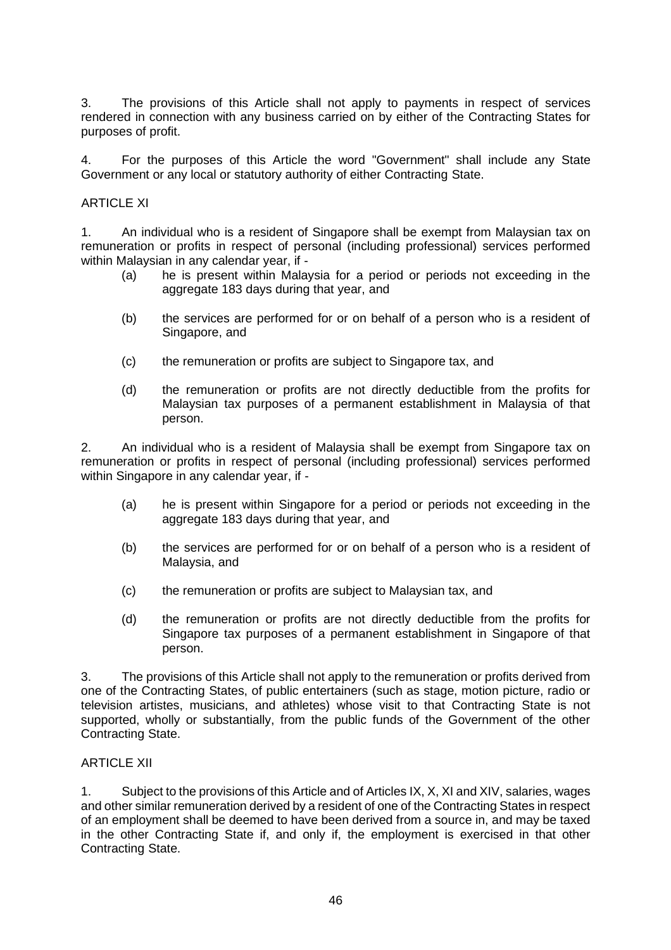3. The provisions of this Article shall not apply to payments in respect of services rendered in connection with any business carried on by either of the Contracting States for purposes of profit.

4. For the purposes of this Article the word "Government" shall include any State Government or any local or statutory authority of either Contracting State.

#### ARTICLE XI

1. An individual who is a resident of Singapore shall be exempt from Malaysian tax on remuneration or profits in respect of personal (including professional) services performed within Malaysian in any calendar year, if -

- (a) he is present within Malaysia for a period or periods not exceeding in the aggregate 183 days during that year, and
- (b) the services are performed for or on behalf of a person who is a resident of Singapore, and
- (c) the remuneration or profits are subject to Singapore tax, and
- (d) the remuneration or profits are not directly deductible from the profits for Malaysian tax purposes of a permanent establishment in Malaysia of that person.

2. An individual who is a resident of Malaysia shall be exempt from Singapore tax on remuneration or profits in respect of personal (including professional) services performed within Singapore in any calendar year, if -

- (a) he is present within Singapore for a period or periods not exceeding in the aggregate 183 days during that year, and
- (b) the services are performed for or on behalf of a person who is a resident of Malaysia, and
- (c) the remuneration or profits are subject to Malaysian tax, and
- (d) the remuneration or profits are not directly deductible from the profits for Singapore tax purposes of a permanent establishment in Singapore of that person.

3. The provisions of this Article shall not apply to the remuneration or profits derived from one of the Contracting States, of public entertainers (such as stage, motion picture, radio or television artistes, musicians, and athletes) whose visit to that Contracting State is not supported, wholly or substantially, from the public funds of the Government of the other Contracting State.

#### ARTICLE XII

1. Subject to the provisions of this Article and of Articles IX, X, XI and XIV, salaries, wages and other similar remuneration derived by a resident of one of the Contracting States in respect of an employment shall be deemed to have been derived from a source in, and may be taxed in the other Contracting State if, and only if, the employment is exercised in that other Contracting State.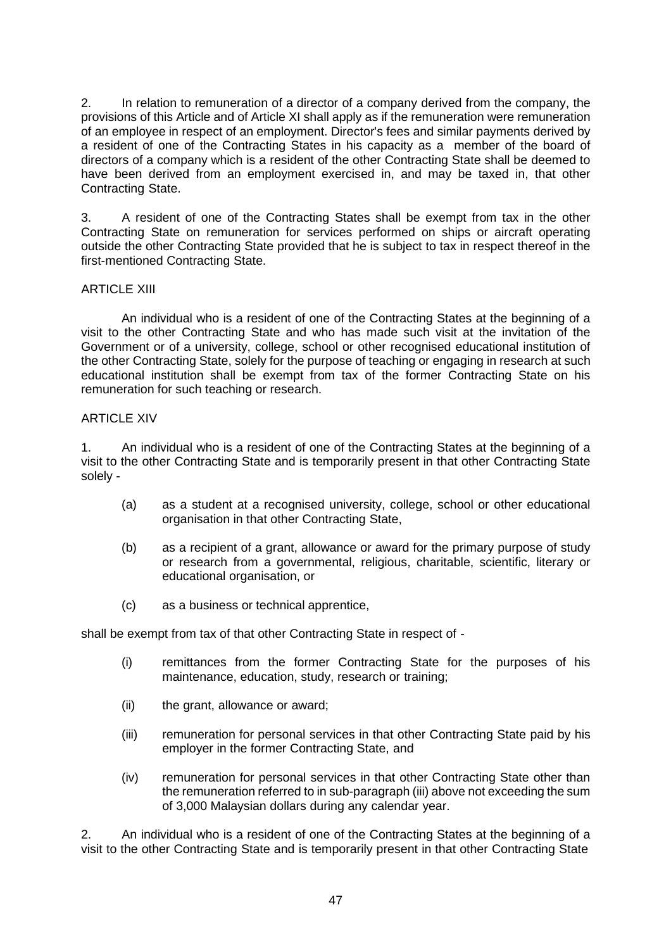2. In relation to remuneration of a director of a company derived from the company, the provisions of this Article and of Article XI shall apply as if the remuneration were remuneration of an employee in respect of an employment. Director's fees and similar payments derived by a resident of one of the Contracting States in his capacity as a member of the board of directors of a company which is a resident of the other Contracting State shall be deemed to have been derived from an employment exercised in, and may be taxed in, that other Contracting State.

3. A resident of one of the Contracting States shall be exempt from tax in the other Contracting State on remuneration for services performed on ships or aircraft operating outside the other Contracting State provided that he is subject to tax in respect thereof in the first-mentioned Contracting State.

#### **ARTICLE XIII**

An individual who is a resident of one of the Contracting States at the beginning of a visit to the other Contracting State and who has made such visit at the invitation of the Government or of a university, college, school or other recognised educational institution of the other Contracting State, solely for the purpose of teaching or engaging in research at such educational institution shall be exempt from tax of the former Contracting State on his remuneration for such teaching or research.

#### ARTICLE XIV

1. An individual who is a resident of one of the Contracting States at the beginning of a visit to the other Contracting State and is temporarily present in that other Contracting State solely -

- (a) as a student at a recognised university, college, school or other educational organisation in that other Contracting State,
- (b) as a recipient of a grant, allowance or award for the primary purpose of study or research from a governmental, religious, charitable, scientific, literary or educational organisation, or
- (c) as a business or technical apprentice,

shall be exempt from tax of that other Contracting State in respect of -

- (i) remittances from the former Contracting State for the purposes of his maintenance, education, study, research or training;
- (ii) the grant, allowance or award;
- (iii) remuneration for personal services in that other Contracting State paid by his employer in the former Contracting State, and
- (iv) remuneration for personal services in that other Contracting State other than the remuneration referred to in sub-paragraph (iii) above not exceeding the sum of 3,000 Malaysian dollars during any calendar year.

2. An individual who is a resident of one of the Contracting States at the beginning of a visit to the other Contracting State and is temporarily present in that other Contracting State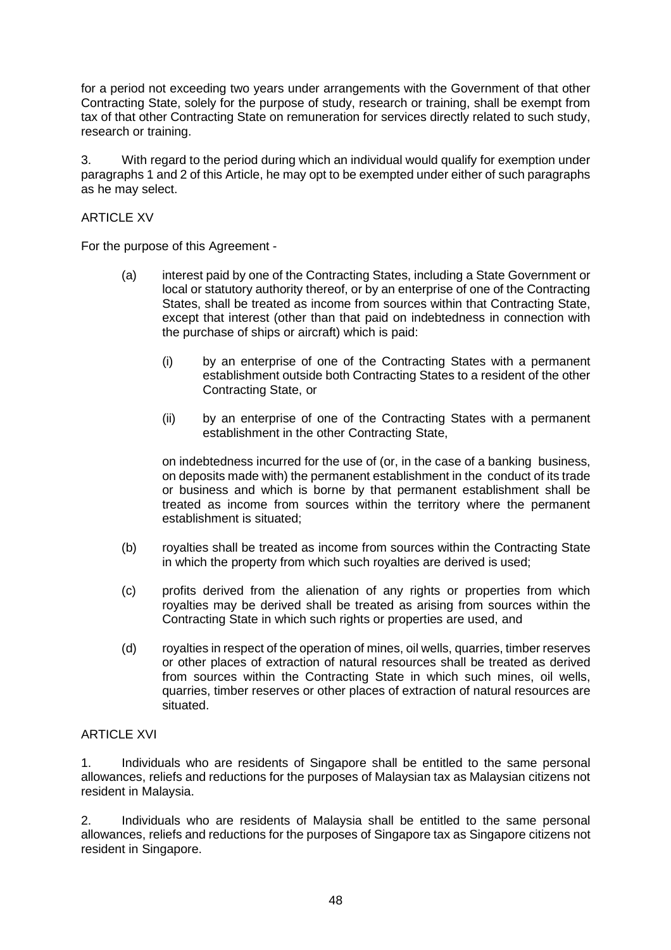for a period not exceeding two years under arrangements with the Government of that other Contracting State, solely for the purpose of study, research or training, shall be exempt from tax of that other Contracting State on remuneration for services directly related to such study, research or training.

3. With regard to the period during which an individual would qualify for exemption under paragraphs 1 and 2 of this Article, he may opt to be exempted under either of such paragraphs as he may select.

#### ARTICLE XV

For the purpose of this Agreement -

- (a) interest paid by one of the Contracting States, including a State Government or local or statutory authority thereof, or by an enterprise of one of the Contracting States, shall be treated as income from sources within that Contracting State, except that interest (other than that paid on indebtedness in connection with the purchase of ships or aircraft) which is paid:
	- (i) by an enterprise of one of the Contracting States with a permanent establishment outside both Contracting States to a resident of the other Contracting State, or
	- (ii) by an enterprise of one of the Contracting States with a permanent establishment in the other Contracting State,

on indebtedness incurred for the use of (or, in the case of a banking business, on deposits made with) the permanent establishment in the conduct of its trade or business and which is borne by that permanent establishment shall be treated as income from sources within the territory where the permanent establishment is situated;

- (b) royalties shall be treated as income from sources within the Contracting State in which the property from which such royalties are derived is used;
- (c) profits derived from the alienation of any rights or properties from which royalties may be derived shall be treated as arising from sources within the Contracting State in which such rights or properties are used, and
- (d) royalties in respect of the operation of mines, oil wells, quarries, timber reserves or other places of extraction of natural resources shall be treated as derived from sources within the Contracting State in which such mines, oil wells, quarries, timber reserves or other places of extraction of natural resources are situated.

## ARTICLE XVI

1. Individuals who are residents of Singapore shall be entitled to the same personal allowances, reliefs and reductions for the purposes of Malaysian tax as Malaysian citizens not resident in Malaysia.

2. Individuals who are residents of Malaysia shall be entitled to the same personal allowances, reliefs and reductions for the purposes of Singapore tax as Singapore citizens not resident in Singapore.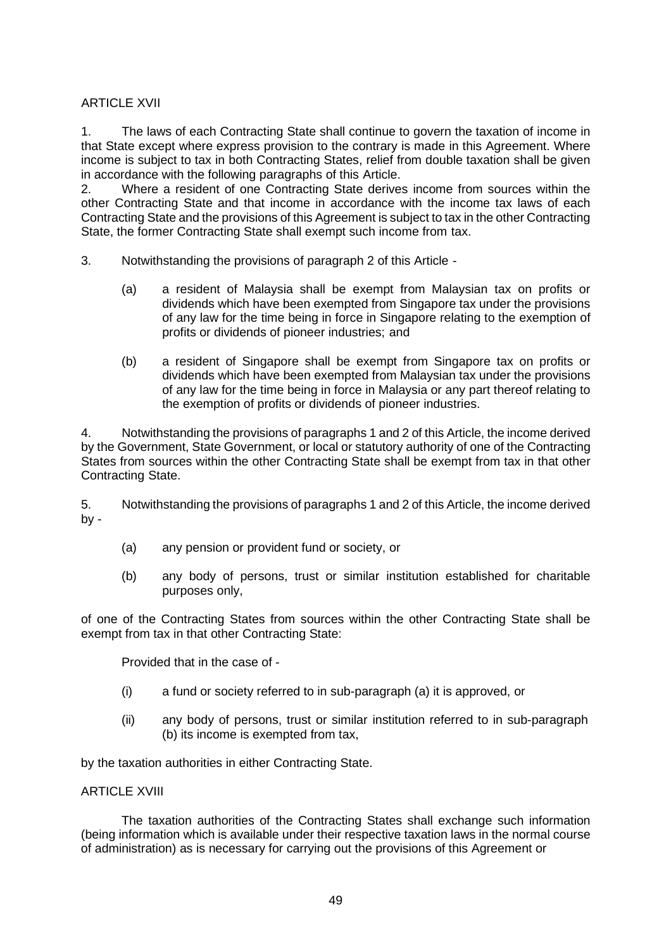#### ARTICLE XVII

1. The laws of each Contracting State shall continue to govern the taxation of income in that State except where express provision to the contrary is made in this Agreement. Where income is subject to tax in both Contracting States, relief from double taxation shall be given in accordance with the following paragraphs of this Article.

2. Where a resident of one Contracting State derives income from sources within the other Contracting State and that income in accordance with the income tax laws of each Contracting State and the provisions of this Agreement is subject to tax in the other Contracting State, the former Contracting State shall exempt such income from tax.

- 3. Notwithstanding the provisions of paragraph 2 of this Article
	- (a) a resident of Malaysia shall be exempt from Malaysian tax on profits or dividends which have been exempted from Singapore tax under the provisions of any law for the time being in force in Singapore relating to the exemption of profits or dividends of pioneer industries; and
	- (b) a resident of Singapore shall be exempt from Singapore tax on profits or dividends which have been exempted from Malaysian tax under the provisions of any law for the time being in force in Malaysia or any part thereof relating to the exemption of profits or dividends of pioneer industries.

4. Notwithstanding the provisions of paragraphs 1 and 2 of this Article, the income derived by the Government, State Government, or local or statutory authority of one of the Contracting States from sources within the other Contracting State shall be exempt from tax in that other Contracting State.

5. Notwithstanding the provisions of paragraphs 1 and 2 of this Article, the income derived by -

- (a) any pension or provident fund or society, or
- (b) any body of persons, trust or similar institution established for charitable purposes only,

of one of the Contracting States from sources within the other Contracting State shall be exempt from tax in that other Contracting State:

Provided that in the case of -

- (i) a fund or society referred to in sub-paragraph (a) it is approved, or
- (ii) any body of persons, trust or similar institution referred to in sub-paragraph (b) its income is exempted from tax,

by the taxation authorities in either Contracting State.

#### ARTICLE XVIII

The taxation authorities of the Contracting States shall exchange such information (being information which is available under their respective taxation laws in the normal course of administration) as is necessary for carrying out the provisions of this Agreement or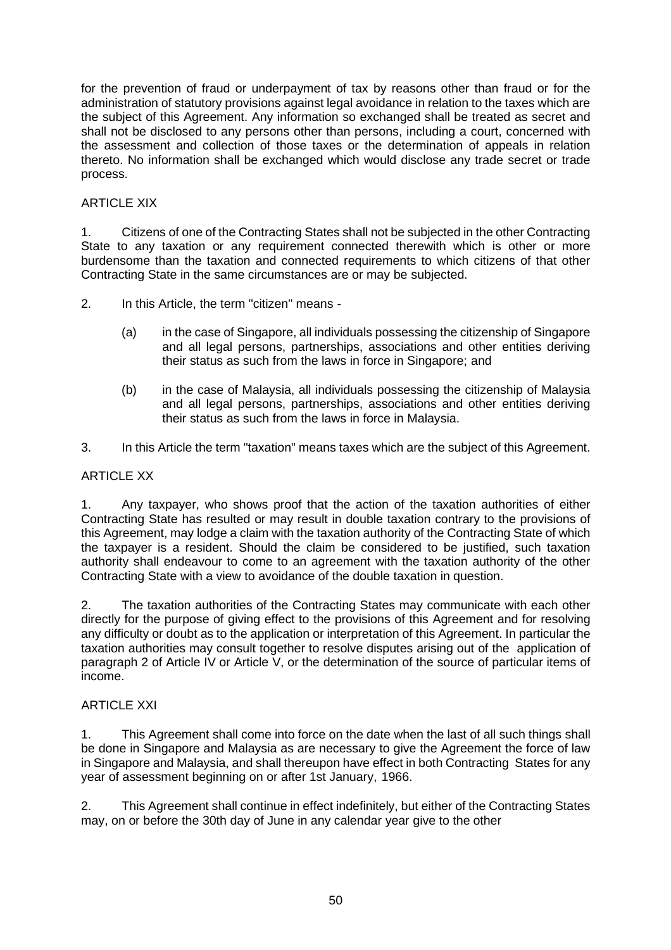for the prevention of fraud or underpayment of tax by reasons other than fraud or for the administration of statutory provisions against legal avoidance in relation to the taxes which are the subject of this Agreement. Any information so exchanged shall be treated as secret and shall not be disclosed to any persons other than persons, including a court, concerned with the assessment and collection of those taxes or the determination of appeals in relation thereto. No information shall be exchanged which would disclose any trade secret or trade process.

## ARTICLE XIX

1. Citizens of one of the Contracting States shall not be subjected in the other Contracting State to any taxation or any requirement connected therewith which is other or more burdensome than the taxation and connected requirements to which citizens of that other Contracting State in the same circumstances are or may be subjected.

2. In this Article, the term "citizen" means -

- (a) in the case of Singapore, all individuals possessing the citizenship of Singapore and all legal persons, partnerships, associations and other entities deriving their status as such from the laws in force in Singapore; and
- (b) in the case of Malaysia, all individuals possessing the citizenship of Malaysia and all legal persons, partnerships, associations and other entities deriving their status as such from the laws in force in Malaysia.
- 3. In this Article the term "taxation" means taxes which are the subject of this Agreement.

## ARTICLE XX

1. Any taxpayer, who shows proof that the action of the taxation authorities of either Contracting State has resulted or may result in double taxation contrary to the provisions of this Agreement, may lodge a claim with the taxation authority of the Contracting State of which the taxpayer is a resident. Should the claim be considered to be justified, such taxation authority shall endeavour to come to an agreement with the taxation authority of the other Contracting State with a view to avoidance of the double taxation in question.

2. The taxation authorities of the Contracting States may communicate with each other directly for the purpose of giving effect to the provisions of this Agreement and for resolving any difficulty or doubt as to the application or interpretation of this Agreement. In particular the taxation authorities may consult together to resolve disputes arising out of the application of paragraph 2 of Article IV or Article V, or the determination of the source of particular items of income.

#### ARTICLE XXI

1. This Agreement shall come into force on the date when the last of all such things shall be done in Singapore and Malaysia as are necessary to give the Agreement the force of law in Singapore and Malaysia, and shall thereupon have effect in both Contracting States for any year of assessment beginning on or after 1st January, 1966.

2. This Agreement shall continue in effect indefinitely, but either of the Contracting States may, on or before the 30th day of June in any calendar year give to the other